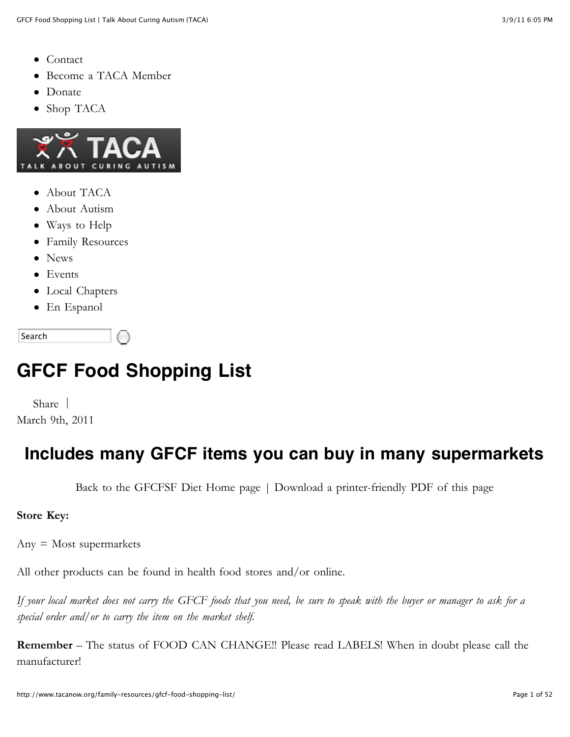- [Contact](http://www.tacanow.org/contact)
- [Become a TACA Member](http://www.tacanow.org/become-a-taca-member)  $\bullet$
- [Donate](http://www.tacanow.org/ways-to-help/donate)  $\bullet$
- [Shop TACA](http://tacanow.org/store)



- [About TACA](http://www.tacanow.org/about-taca)
- [About Autism](http://www.tacanow.org/about-autism)
- [Ways to Help](http://www.tacanow.org/ways-to-help)
- [Family Resources](http://www.tacanow.org/family-resources)
- [News](http://www.tacanow.org/category/news)
- [Events](http://www.tacanow.org/events)
- [Local Chapters](http://www.tacanow.org/local-chapters)
- [En Espanol](http://www.tacanow.org/category/en-espanol)

Search

# **GFCF Food Shopping List**

[Share](http://addthis.com/bookmark.php?v=250&username=xa-4d2b47597ad291fb) | March 9th, 2011

#### **Includes many GFCF items you can buy in many supermarkets**

[Back to the GFCFSF Diet Home page](http://www.tacanow.org/tag/gfcf/) | [Download a printer-friendly PDF of this page](http://www.tacanow.org/family-resources/gfcf-food-shopping-list/gfcf-foodlist.pdf)

#### **Store Key:**

Any = Most supermarkets

All other products can be found in health food stores and/or online.

*If your local market does not carry the GFCF foods that you need, be sure to speak with the buyer or manager to ask for a special order and/or to carry the item on the market shelf.*

**Remember** – The status of FOOD CAN CHANGE!! Please read LABELS! When in doubt please call the manufacturer!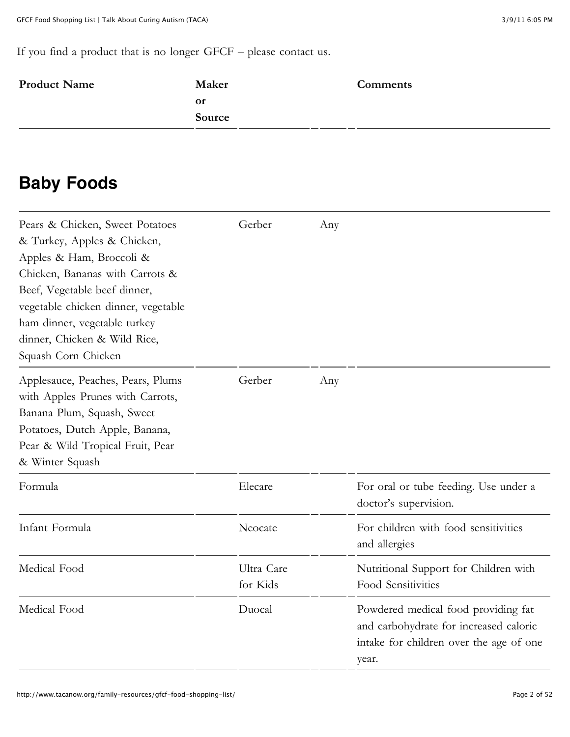If you find a product that is no longer GFCF – please [contact us](http://www.tacanow.org/contact/).

| <b>Product Name</b> | Maker     | <b>Comments</b> |
|---------------------|-----------|-----------------|
|                     | <b>or</b> |                 |
|                     | Source    |                 |
|                     |           |                 |

#### **Baby Foods**

| Pears & Chicken, Sweet Potatoes<br>& Turkey, Apples & Chicken,<br>Apples & Ham, Broccoli &<br>Chicken, Bananas with Carrots &<br>Beef, Vegetable beef dinner,<br>vegetable chicken dinner, vegetable<br>ham dinner, vegetable turkey<br>dinner, Chicken & Wild Rice,<br>Squash Corn Chicken | Gerber                 | Any |                                                                                                                                   |
|---------------------------------------------------------------------------------------------------------------------------------------------------------------------------------------------------------------------------------------------------------------------------------------------|------------------------|-----|-----------------------------------------------------------------------------------------------------------------------------------|
| Applesauce, Peaches, Pears, Plums<br>with Apples Prunes with Carrots,<br>Banana Plum, Squash, Sweet<br>Potatoes, Dutch Apple, Banana,<br>Pear & Wild Tropical Fruit, Pear<br>& Winter Squash                                                                                                | Gerber                 | Any |                                                                                                                                   |
| Formula                                                                                                                                                                                                                                                                                     | Elecare                |     | For oral or tube feeding. Use under a<br>doctor's supervision.                                                                    |
| Infant Formula                                                                                                                                                                                                                                                                              | Neocate                |     | For children with food sensitivities<br>and allergies                                                                             |
| Medical Food                                                                                                                                                                                                                                                                                | Ultra Care<br>for Kids |     | Nutritional Support for Children with<br>Food Sensitivities                                                                       |
| Medical Food                                                                                                                                                                                                                                                                                | Duocal                 |     | Powdered medical food providing fat<br>and carbohydrate for increased caloric<br>intake for children over the age of one<br>year. |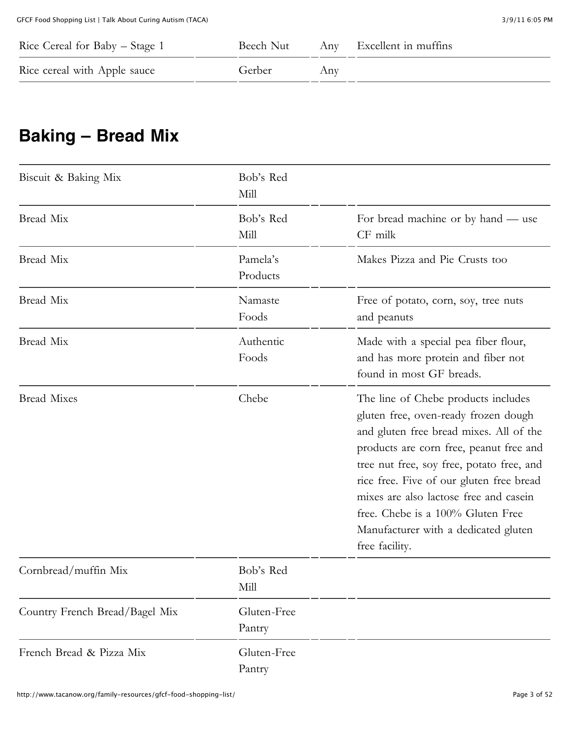| Rice Cereal for Baby – Stage 1 |        |     | Beech Nut Any Excellent in muffins |
|--------------------------------|--------|-----|------------------------------------|
| Rice cereal with Apple sauce   | Gerber | Any |                                    |

### **Baking – Bread Mix**

| Biscuit & Baking Mix           | Bob's Red<br>Mill     |                                                                                                                                                                                                                                                                                                                                                                                                     |
|--------------------------------|-----------------------|-----------------------------------------------------------------------------------------------------------------------------------------------------------------------------------------------------------------------------------------------------------------------------------------------------------------------------------------------------------------------------------------------------|
| Bread Mix                      | Bob's Red<br>Mill     | For bread machine or by hand — use<br>CF milk                                                                                                                                                                                                                                                                                                                                                       |
| Bread Mix                      | Pamela's<br>Products  | Makes Pizza and Pie Crusts too                                                                                                                                                                                                                                                                                                                                                                      |
| Bread Mix                      | Namaste<br>Foods      | Free of potato, corn, soy, tree nuts<br>and peanuts                                                                                                                                                                                                                                                                                                                                                 |
| Bread Mix                      | Authentic<br>Foods    | Made with a special pea fiber flour,<br>and has more protein and fiber not<br>found in most GF breads.                                                                                                                                                                                                                                                                                              |
| <b>Bread Mixes</b>             | Chebe                 | The line of Chebe products includes<br>gluten free, oven-ready frozen dough<br>and gluten free bread mixes. All of the<br>products are corn free, peanut free and<br>tree nut free, soy free, potato free, and<br>rice free. Five of our gluten free bread<br>mixes are also lactose free and casein<br>free. Chebe is a 100% Gluten Free<br>Manufacturer with a dedicated gluten<br>free facility. |
| Cornbread/muffin Mix           | Bob's Red<br>Mill     |                                                                                                                                                                                                                                                                                                                                                                                                     |
| Country French Bread/Bagel Mix | Gluten-Free<br>Pantry |                                                                                                                                                                                                                                                                                                                                                                                                     |
| French Bread & Pizza Mix       | Gluten-Free<br>Pantry |                                                                                                                                                                                                                                                                                                                                                                                                     |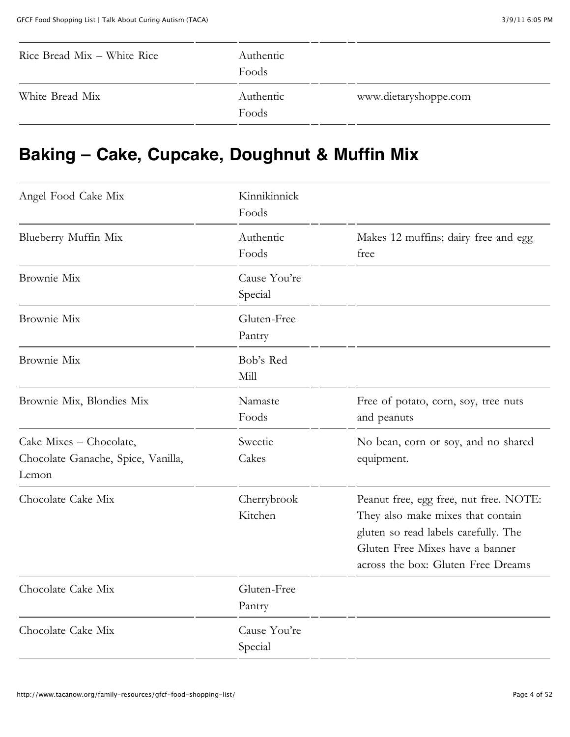| Rice Bread Mix – White Rice | Authentic<br>Foods |                       |
|-----------------------------|--------------------|-----------------------|
| White Bread Mix             | Authentic<br>Foods | www.dietaryshoppe.com |

#### **Baking – Cake, Cupcake, Doughnut & Muffin Mix**

| Angel Food Cake Mix                                                    | Kinnikinnick<br>Foods   |                                                                                                                                                                                              |
|------------------------------------------------------------------------|-------------------------|----------------------------------------------------------------------------------------------------------------------------------------------------------------------------------------------|
| Blueberry Muffin Mix                                                   | Authentic<br>Foods      | Makes 12 muffins; dairy free and egg<br>free                                                                                                                                                 |
| Brownie Mix                                                            | Cause You're<br>Special |                                                                                                                                                                                              |
| Brownie Mix                                                            | Gluten-Free<br>Pantry   |                                                                                                                                                                                              |
| Brownie Mix                                                            | Bob's Red<br>Mill       |                                                                                                                                                                                              |
| Brownie Mix, Blondies Mix                                              | Namaste<br>Foods        | Free of potato, corn, soy, tree nuts<br>and peanuts                                                                                                                                          |
| Cake Mixes - Chocolate,<br>Chocolate Ganache, Spice, Vanilla,<br>Lemon | Sweetie<br>Cakes        | No bean, corn or soy, and no shared<br>equipment.                                                                                                                                            |
| Chocolate Cake Mix                                                     | Cherrybrook<br>Kitchen  | Peanut free, egg free, nut free. NOTE:<br>They also make mixes that contain<br>gluten so read labels carefully. The<br>Gluten Free Mixes have a banner<br>across the box: Gluten Free Dreams |
| Chocolate Cake Mix                                                     | Gluten-Free<br>Pantry   |                                                                                                                                                                                              |
| Chocolate Cake Mix                                                     | Cause You're<br>Special |                                                                                                                                                                                              |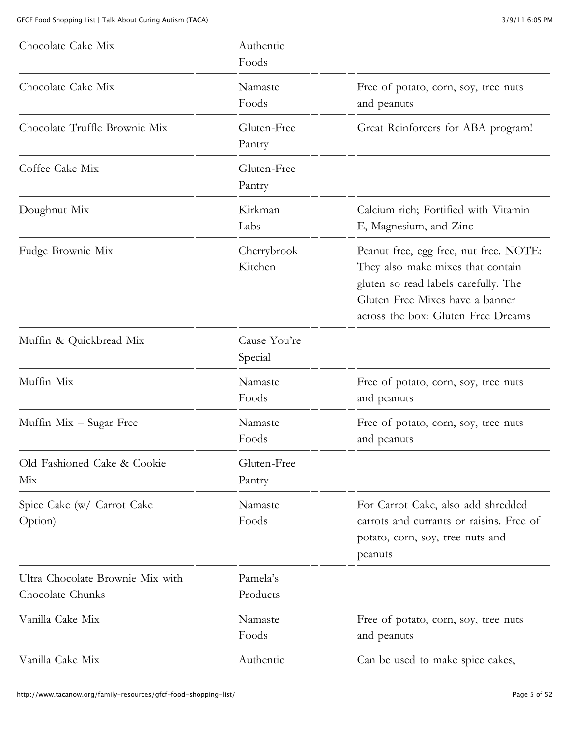| Chocolate Cake Mix                                   | Authentic<br>Foods      |                                                                                                                                                                                              |
|------------------------------------------------------|-------------------------|----------------------------------------------------------------------------------------------------------------------------------------------------------------------------------------------|
| Chocolate Cake Mix                                   | Namaste<br>Foods        | Free of potato, corn, soy, tree nuts<br>and peanuts                                                                                                                                          |
| Chocolate Truffle Brownie Mix                        | Gluten-Free<br>Pantry   | Great Reinforcers for ABA program!                                                                                                                                                           |
| Coffee Cake Mix                                      | Gluten-Free<br>Pantry   |                                                                                                                                                                                              |
| Doughnut Mix                                         | Kirkman<br>Labs         | Calcium rich; Fortified with Vitamin<br>E, Magnesium, and Zinc                                                                                                                               |
| Fudge Brownie Mix                                    | Cherrybrook<br>Kitchen  | Peanut free, egg free, nut free. NOTE:<br>They also make mixes that contain<br>gluten so read labels carefully. The<br>Gluten Free Mixes have a banner<br>across the box: Gluten Free Dreams |
| Muffin & Quickbread Mix                              | Cause You're<br>Special |                                                                                                                                                                                              |
| Muffin Mix                                           | Namaste<br>Foods        | Free of potato, corn, soy, tree nuts<br>and peanuts                                                                                                                                          |
| Muffin Mix - Sugar Free                              | Namaste<br>Foods        | Free of potato, corn, soy, tree nuts<br>and peanuts                                                                                                                                          |
| Old Fashioned Cake & Cookie<br>Mix                   | Gluten-Free<br>Pantry   |                                                                                                                                                                                              |
| Spice Cake (w/ Carrot Cake<br>Option)                | Namaste<br>Foods        | For Carrot Cake, also add shredded<br>carrots and currants or raisins. Free of<br>potato, corn, soy, tree nuts and<br>peanuts                                                                |
| Ultra Chocolate Brownie Mix with<br>Chocolate Chunks | Pamela's<br>Products    |                                                                                                                                                                                              |
| Vanilla Cake Mix                                     | Namaste<br>Foods        | Free of potato, corn, soy, tree nuts<br>and peanuts                                                                                                                                          |
| Vanilla Cake Mix                                     | Authentic               | Can be used to make spice cakes,                                                                                                                                                             |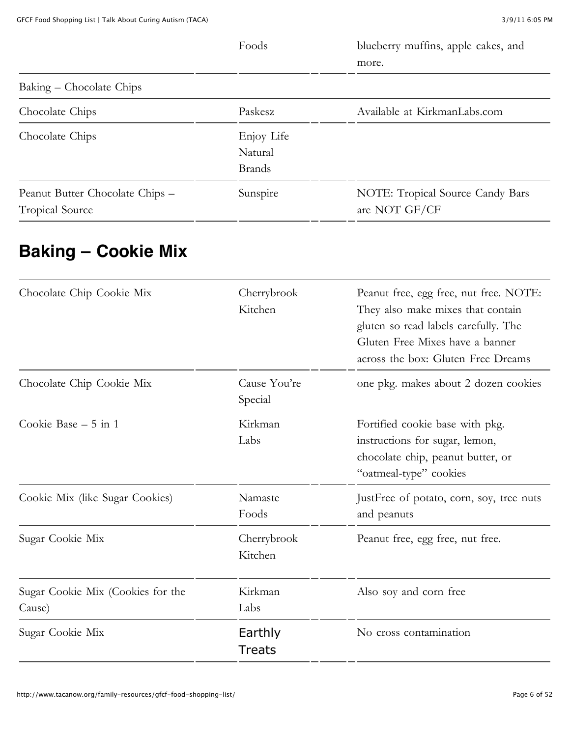|                                                           | Foods                                  | blueberry muffins, apple cakes, and<br>more.      |
|-----------------------------------------------------------|----------------------------------------|---------------------------------------------------|
| Baking – Chocolate Chips                                  |                                        |                                                   |
| Chocolate Chips                                           | Paskesz                                | Available at KirkmanLabs.com                      |
| Chocolate Chips                                           | Enjoy Life<br>Natural<br><b>Brands</b> |                                                   |
| Peanut Butter Chocolate Chips -<br><b>Tropical Source</b> | Sunspire                               | NOTE: Tropical Source Candy Bars<br>are NOT GF/CF |

# **Baking – Cookie Mix**

| Chocolate Chip Cookie Mix                   | Cherrybrook<br>Kitchen   | Peanut free, egg free, nut free. NOTE:<br>They also make mixes that contain<br>gluten so read labels carefully. The<br>Gluten Free Mixes have a banner<br>across the box: Gluten Free Dreams |
|---------------------------------------------|--------------------------|----------------------------------------------------------------------------------------------------------------------------------------------------------------------------------------------|
| Chocolate Chip Cookie Mix                   | Cause You're<br>Special  | one pkg. makes about 2 dozen cookies                                                                                                                                                         |
| Cookie Base $-5$ in 1                       | Kirkman<br>Labs          | Fortified cookie base with pkg.<br>instructions for sugar, lemon,<br>chocolate chip, peanut butter, or<br>"oatmeal-type" cookies                                                             |
| Cookie Mix (like Sugar Cookies)             | Namaste<br>Foods         | JustFree of potato, corn, soy, tree nuts<br>and peanuts                                                                                                                                      |
| Sugar Cookie Mix                            | Cherrybrook<br>Kitchen   | Peanut free, egg free, nut free.                                                                                                                                                             |
| Sugar Cookie Mix (Cookies for the<br>Cause) | Kirkman<br>Labs          | Also soy and corn free                                                                                                                                                                       |
| Sugar Cookie Mix                            | Earthly<br><b>Treats</b> | No cross contamination                                                                                                                                                                       |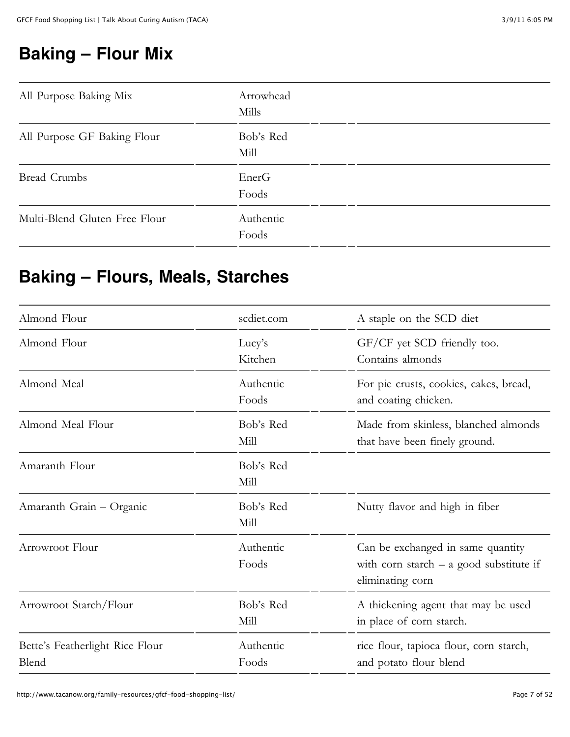### **Baking – Flour Mix**

| All Purpose Baking Mix        | Arrowhead<br>Mills |  |
|-------------------------------|--------------------|--|
| All Purpose GF Baking Flour   | Bob's Red<br>Mill  |  |
| <b>Bread Crumbs</b>           | EnerG<br>Foods     |  |
| Multi-Blend Gluten Free Flour | Authentic<br>Foods |  |

#### **Baking – Flours, Meals, Starches**

| Almond Flour                             | scdiet.com         | A staple on the SCD diet                                                                           |
|------------------------------------------|--------------------|----------------------------------------------------------------------------------------------------|
| Almond Flour                             | Lucy's<br>Kitchen  | GF/CF yet SCD friendly too.<br>Contains almonds                                                    |
| Almond Meal                              | Authentic<br>Foods | For pie crusts, cookies, cakes, bread,<br>and coating chicken.                                     |
| Almond Meal Flour                        | Bob's Red<br>Mill  | Made from skinless, blanched almonds<br>that have been finely ground.                              |
| Amaranth Flour                           | Bob's Red<br>Mill  |                                                                                                    |
| Amaranth Grain - Organic                 | Bob's Red<br>Mill  | Nutty flavor and high in fiber                                                                     |
| Arrowroot Flour                          | Authentic<br>Foods | Can be exchanged in same quantity<br>with corn starch $-$ a good substitute if<br>eliminating corn |
| Arrowroot Starch/Flour                   | Bob's Red<br>Mill  | A thickening agent that may be used<br>in place of corn starch.                                    |
| Bette's Featherlight Rice Flour<br>Blend | Authentic<br>Foods | rice flour, tapioca flour, corn starch,<br>and potato flour blend                                  |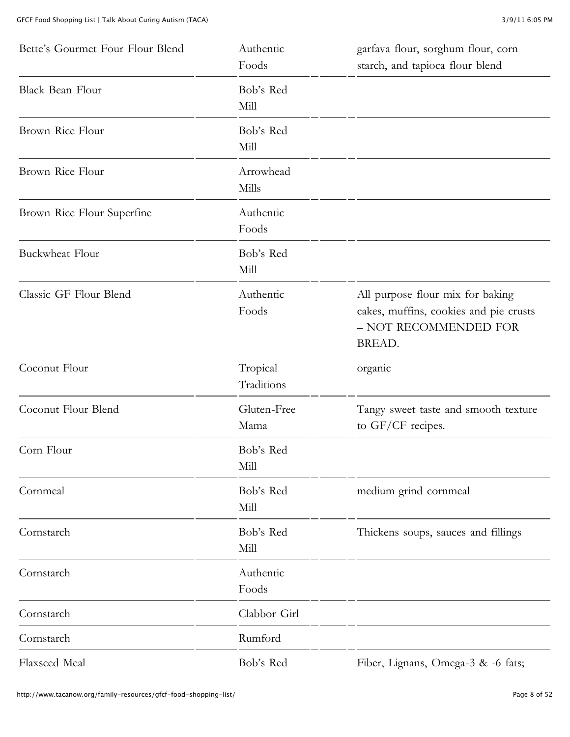| Bette's Gourmet Four Flour Blend | Authentic<br>Foods     | garfava flour, sorghum flour, corn<br>starch, and tapioca flour blend                                         |
|----------------------------------|------------------------|---------------------------------------------------------------------------------------------------------------|
| Black Bean Flour                 | Bob's Red<br>Mill      |                                                                                                               |
| Brown Rice Flour                 | Bob's Red<br>Mill      |                                                                                                               |
| Brown Rice Flour                 | Arrowhead<br>Mills     |                                                                                                               |
| Brown Rice Flour Superfine       | Authentic<br>Foods     |                                                                                                               |
| <b>Buckwheat Flour</b>           | Bob's Red<br>Mill      |                                                                                                               |
| Classic GF Flour Blend           | Authentic<br>Foods     | All purpose flour mix for baking<br>cakes, muffins, cookies and pie crusts<br>- NOT RECOMMENDED FOR<br>BREAD. |
| Coconut Flour                    | Tropical<br>Traditions | organic                                                                                                       |
| Coconut Flour Blend              | Gluten-Free<br>Mama    | Tangy sweet taste and smooth texture<br>to GF/CF recipes.                                                     |
| Corn Flour                       | Bob's Red<br>Mill      |                                                                                                               |
| Cornmeal                         | Bob's Red<br>Mill      | medium grind cornmeal                                                                                         |
| Cornstarch                       | Bob's Red<br>Mill      | Thickens soups, sauces and fillings                                                                           |
| Cornstarch                       | Authentic<br>Foods     |                                                                                                               |
| Cornstarch                       | Clabbor Girl           |                                                                                                               |
| Cornstarch                       | Rumford                |                                                                                                               |
| Flaxseed Meal                    | Bob's Red              | Fiber, Lignans, Omega-3 & -6 fats;                                                                            |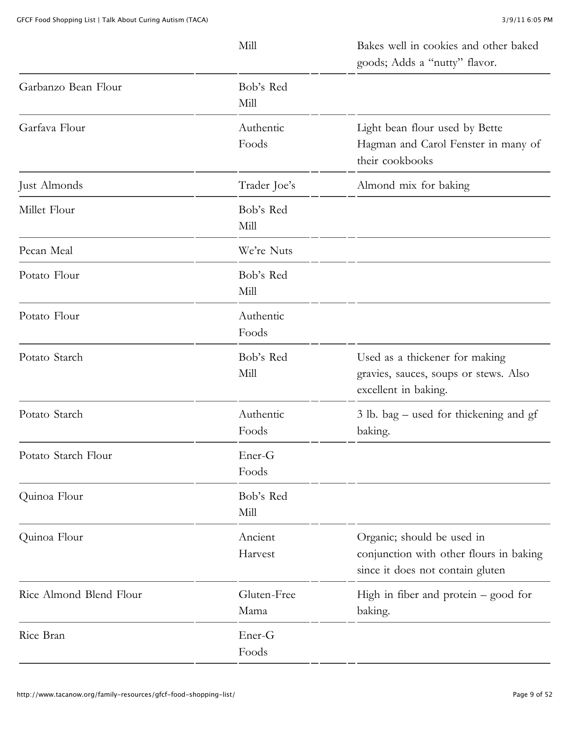|                         | Mill                | Bakes well in cookies and other baked<br>goods; Adds a "nutty" flavor.                                    |
|-------------------------|---------------------|-----------------------------------------------------------------------------------------------------------|
| Garbanzo Bean Flour     | Bob's Red<br>Mill   |                                                                                                           |
| Garfava Flour           | Authentic<br>Foods  | Light bean flour used by Bette<br>Hagman and Carol Fenster in many of<br>their cookbooks                  |
| Just Almonds            | Trader Joe's        | Almond mix for baking                                                                                     |
| Millet Flour            | Bob's Red<br>Mill   |                                                                                                           |
| Pecan Meal              | We're Nuts          |                                                                                                           |
| Potato Flour            | Bob's Red<br>Mill   |                                                                                                           |
| Potato Flour            | Authentic<br>Foods  |                                                                                                           |
| Potato Starch           | Bob's Red<br>Mill   | Used as a thickener for making<br>gravies, sauces, soups or stews. Also<br>excellent in baking.           |
| Potato Starch           | Authentic<br>Foods  | 3 lb. bag – used for thickening and gf<br>baking.                                                         |
| Potato Starch Flour     | Ener-G<br>Foods     |                                                                                                           |
| Quinoa Flour            | Bob's Red<br>Mill   |                                                                                                           |
| Quinoa Flour            | Ancient<br>Harvest  | Organic; should be used in<br>conjunction with other flours in baking<br>since it does not contain gluten |
| Rice Almond Blend Flour | Gluten-Free<br>Mama | High in fiber and protein - good for<br>baking.                                                           |
| Rice Bran               | Ener-G<br>Foods     |                                                                                                           |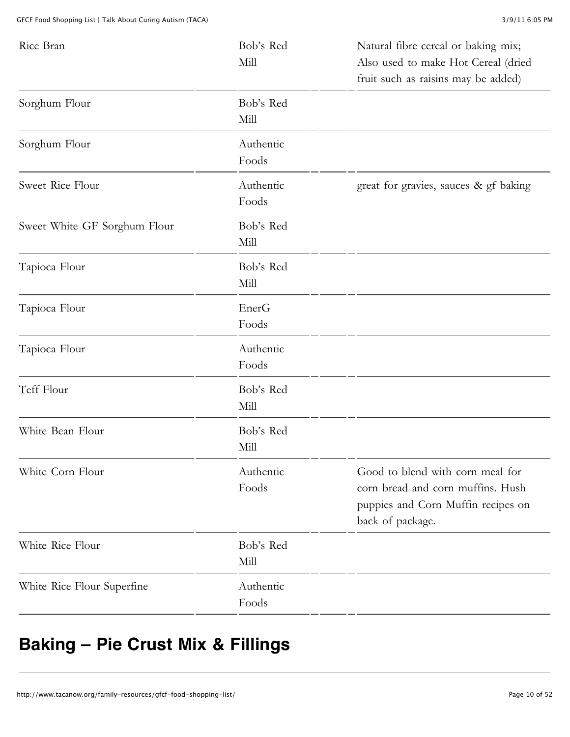| Rice Bran                    | Bob's Red<br>Mill  | Natural fibre cereal or baking mix;<br>Also used to make Hot Cereal (dried<br>fruit such as raisins may be added)               |
|------------------------------|--------------------|---------------------------------------------------------------------------------------------------------------------------------|
| Sorghum Flour                | Bob's Red<br>Mill  |                                                                                                                                 |
| Sorghum Flour                | Authentic<br>Foods |                                                                                                                                 |
| Sweet Rice Flour             | Authentic<br>Foods | great for gravies, sauces & gf baking                                                                                           |
| Sweet White GF Sorghum Flour | Bob's Red<br>Mill  |                                                                                                                                 |
| Tapioca Flour                | Bob's Red<br>Mill  |                                                                                                                                 |
| Tapioca Flour                | EnerG<br>Foods     |                                                                                                                                 |
| Tapioca Flour                | Authentic<br>Foods |                                                                                                                                 |
| Teff Flour                   | Bob's Red<br>Mill  |                                                                                                                                 |
| White Bean Flour             | Bob's Red<br>Mill  |                                                                                                                                 |
| White Corn Flour             | Authentic<br>Foods | Good to blend with corn meal for<br>corn bread and corn muffins. Hush<br>puppies and Corn Muffin recipes on<br>back of package. |
| White Rice Flour             | Bob's Red<br>Mill  |                                                                                                                                 |
| White Rice Flour Superfine   | Authentic<br>Foods |                                                                                                                                 |

# **Baking – Pie Crust Mix & Fillings**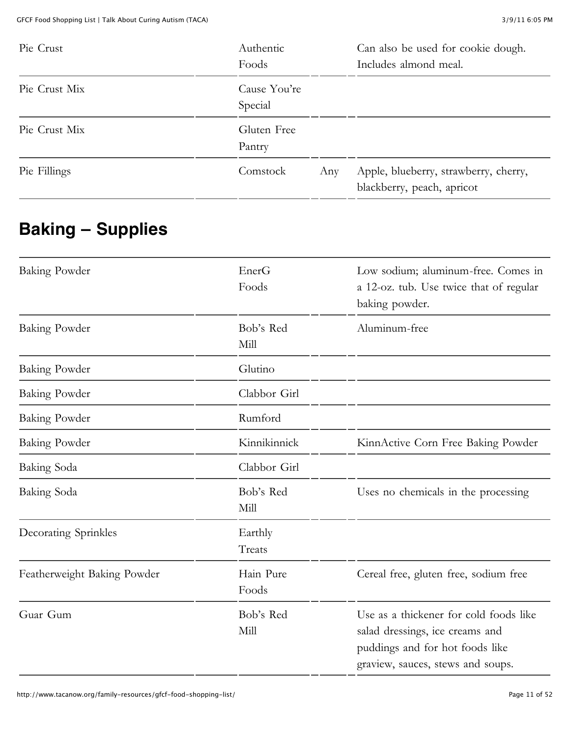| Pie Crust     | Authentic<br>Foods      |     | Can also be used for cookie dough.<br>Includes almond meal.         |
|---------------|-------------------------|-----|---------------------------------------------------------------------|
| Pie Crust Mix | Cause You're<br>Special |     |                                                                     |
| Pie Crust Mix | Gluten Free<br>Pantry   |     |                                                                     |
| Pie Fillings  | Comstock                | Any | Apple, blueberry, strawberry, cherry,<br>blackberry, peach, apricot |

# **Baking – Supplies**

| <b>Baking Powder</b>        | EnerG<br>Foods     | Low sodium; aluminum-free. Comes in<br>a 12-oz. tub. Use twice that of regular<br>baking powder.                                                  |
|-----------------------------|--------------------|---------------------------------------------------------------------------------------------------------------------------------------------------|
| <b>Baking Powder</b>        | Bob's Red<br>Mill  | Aluminum-free                                                                                                                                     |
| <b>Baking Powder</b>        | Glutino            |                                                                                                                                                   |
| Baking Powder               | Clabbor Girl       |                                                                                                                                                   |
| <b>Baking Powder</b>        | Rumford            |                                                                                                                                                   |
| <b>Baking Powder</b>        | Kinnikinnick       | KinnActive Corn Free Baking Powder                                                                                                                |
| Baking Soda                 | Clabbor Girl       |                                                                                                                                                   |
| Baking Soda                 | Bob's Red<br>Mill  | Uses no chemicals in the processing                                                                                                               |
| Decorating Sprinkles        | Earthly<br>Treats  |                                                                                                                                                   |
| Featherweight Baking Powder | Hain Pure<br>Foods | Cereal free, gluten free, sodium free                                                                                                             |
| Guar Gum                    | Bob's Red<br>Mill  | Use as a thickener for cold foods like<br>salad dressings, ice creams and<br>puddings and for hot foods like<br>graview, sauces, stews and soups. |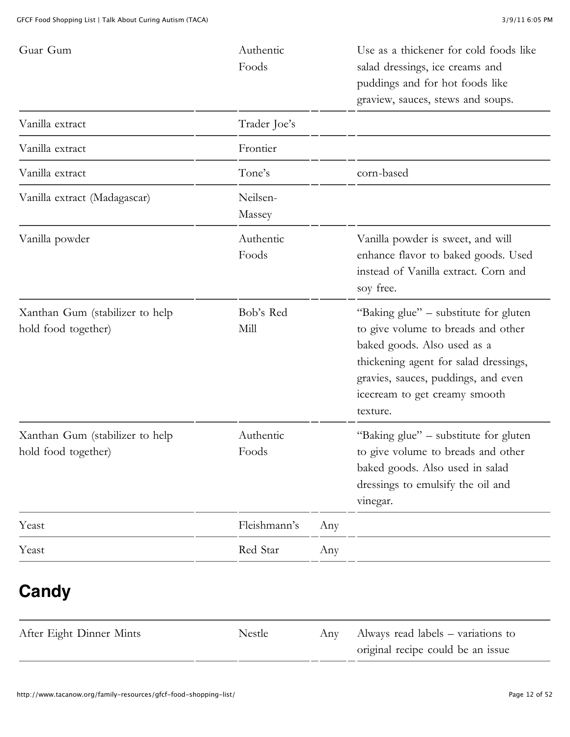| Guar Gum                                               | Authentic<br>Foods |     | Use as a thickener for cold foods like<br>salad dressings, ice creams and<br>puddings and for hot foods like<br>graview, sauces, stews and soups.                                                                                       |
|--------------------------------------------------------|--------------------|-----|-----------------------------------------------------------------------------------------------------------------------------------------------------------------------------------------------------------------------------------------|
| Vanilla extract                                        | Trader Joe's       |     |                                                                                                                                                                                                                                         |
| Vanilla extract                                        | Frontier           |     |                                                                                                                                                                                                                                         |
| Vanilla extract                                        | Tone's             |     | corn-based                                                                                                                                                                                                                              |
| Vanilla extract (Madagascar)                           | Neilsen-<br>Massey |     |                                                                                                                                                                                                                                         |
| Vanilla powder                                         | Authentic<br>Foods |     | Vanilla powder is sweet, and will<br>enhance flavor to baked goods. Used<br>instead of Vanilla extract. Corn and<br>soy free.                                                                                                           |
| Xanthan Gum (stabilizer to help<br>hold food together) | Bob's Red<br>Mill  |     | "Baking glue" – substitute for gluten<br>to give volume to breads and other<br>baked goods. Also used as a<br>thickening agent for salad dressings,<br>gravies, sauces, puddings, and even<br>icecream to get creamy smooth<br>texture. |
| Xanthan Gum (stabilizer to help<br>hold food together) | Authentic<br>Foods |     | "Baking glue" - substitute for gluten<br>to give volume to breads and other<br>baked goods. Also used in salad<br>dressings to emulsify the oil and<br>vinegar.                                                                         |
| Yeast                                                  | Fleishmann's       | Any |                                                                                                                                                                                                                                         |
| Yeast                                                  | Red Star           | Any |                                                                                                                                                                                                                                         |
| Candy                                                  |                    |     |                                                                                                                                                                                                                                         |
| After Eight Dinner Mints                               | Nestle             | Any | Always read labels – variations to<br>original recipe could be an issue                                                                                                                                                                 |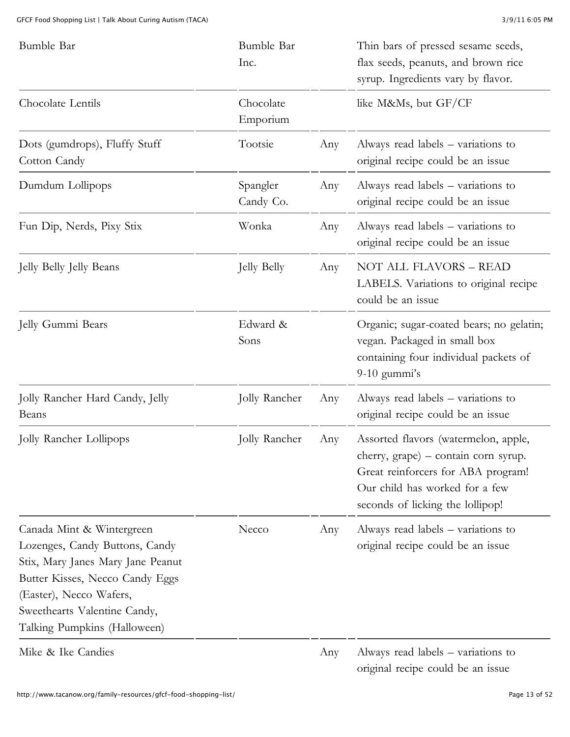| Bumble Bar                                                                                                                                                                                                                     | Bumble Bar<br>Inc.    |     | Thin bars of pressed sesame seeds,<br>flax seeds, peanuts, and brown rice<br>syrup. Ingredients vary by flavor.                                                                          |
|--------------------------------------------------------------------------------------------------------------------------------------------------------------------------------------------------------------------------------|-----------------------|-----|------------------------------------------------------------------------------------------------------------------------------------------------------------------------------------------|
| Chocolate Lentils                                                                                                                                                                                                              | Chocolate<br>Emporium |     | like M&Ms, but GF/CF                                                                                                                                                                     |
| Dots (gumdrops), Fluffy Stuff<br>Cotton Candy                                                                                                                                                                                  | Tootsie               | Any | Always read labels – variations to<br>original recipe could be an issue                                                                                                                  |
| Dumdum Lollipops                                                                                                                                                                                                               | Spangler<br>Candy Co. | Any | Always read labels – variations to<br>original recipe could be an issue                                                                                                                  |
| Fun Dip, Nerds, Pixy Stix                                                                                                                                                                                                      | Wonka                 | Any | Always read labels – variations to<br>original recipe could be an issue                                                                                                                  |
| Jelly Belly Jelly Beans                                                                                                                                                                                                        | <b>Jelly Belly</b>    | Any | NOT ALL FLAVORS - READ<br>LABELS. Variations to original recipe<br>could be an issue                                                                                                     |
| Jelly Gummi Bears                                                                                                                                                                                                              | Edward &<br>Sons      |     | Organic; sugar-coated bears; no gelatin;<br>vegan. Packaged in small box<br>containing four individual packets of<br>$9-10$ gummi's                                                      |
| Jolly Rancher Hard Candy, Jelly<br>Beans                                                                                                                                                                                       | Jolly Rancher         | Any | Always read labels – variations to<br>original recipe could be an issue                                                                                                                  |
| Jolly Rancher Lollipops                                                                                                                                                                                                        | Jolly Rancher         | Any | Assorted flavors (watermelon, apple,<br>cherry, grape) - contain corn syrup.<br>Great reinforcers for ABA program!<br>Our child has worked for a few<br>seconds of licking the lollipop! |
| Canada Mint & Wintergreen<br>Lozenges, Candy Buttons, Candy<br>Stix, Mary Janes Mary Jane Peanut<br>Butter Kisses, Necco Candy Eggs<br>(Easter), Necco Wafers,<br>Sweethearts Valentine Candy,<br>Talking Pumpkins (Halloween) | Necco                 | Any | Always read labels – variations to<br>original recipe could be an issue                                                                                                                  |
| Mike & Ike Candies                                                                                                                                                                                                             |                       | Any | Always read labels – variations to                                                                                                                                                       |

http://www.tacanow.org/family-resources/gfcf-food-shopping-list/ Page 13 of 52

original recipe could be an issue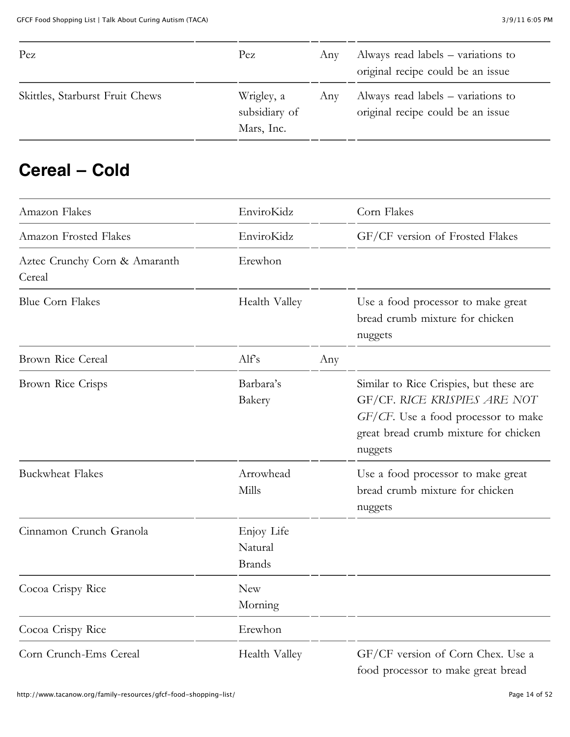| Pez                             | Pez                                       | Anv | Always read labels – variations to<br>original recipe could be an issue |
|---------------------------------|-------------------------------------------|-----|-------------------------------------------------------------------------|
| Skittles, Starburst Fruit Chews | Wrigley, a<br>subsidiary of<br>Mars, Inc. | Any | Always read labels – variations to<br>original recipe could be an issue |

#### **Cereal – Cold**

| Amazon Flakes                           | EnviroKidz                             |     | Corn Flakes                                                                                                                                                        |
|-----------------------------------------|----------------------------------------|-----|--------------------------------------------------------------------------------------------------------------------------------------------------------------------|
| Amazon Frosted Flakes                   | EnviroKidz                             |     | GF/CF version of Frosted Flakes                                                                                                                                    |
| Aztec Crunchy Corn & Amaranth<br>Cereal | Erewhon                                |     |                                                                                                                                                                    |
| <b>Blue Corn Flakes</b>                 | Health Valley                          |     | Use a food processor to make great<br>bread crumb mixture for chicken<br>nuggets                                                                                   |
| Brown Rice Cereal                       | Alfs                                   | Any |                                                                                                                                                                    |
| Brown Rice Crisps                       | Barbara's<br>Bakery                    |     | Similar to Rice Crispies, but these are<br>GF/CF. RICE KRISPIES ARE NOT<br>GF/CF. Use a food processor to make<br>great bread crumb mixture for chicken<br>nuggets |
| <b>Buckwheat Flakes</b>                 | Arrowhead<br>Mills                     |     | Use a food processor to make great<br>bread crumb mixture for chicken<br>nuggets                                                                                   |
| Cinnamon Crunch Granola                 | Enjoy Life<br>Natural<br><b>Brands</b> |     |                                                                                                                                                                    |
| Cocoa Crispy Rice                       | <b>New</b><br>Morning                  |     |                                                                                                                                                                    |
| Cocoa Crispy Rice                       | Erewhon                                |     |                                                                                                                                                                    |
| Corn Crunch-Ems Cereal                  | Health Valley                          |     | GF/CF version of Corn Chex. Use a<br>food processor to make great bread                                                                                            |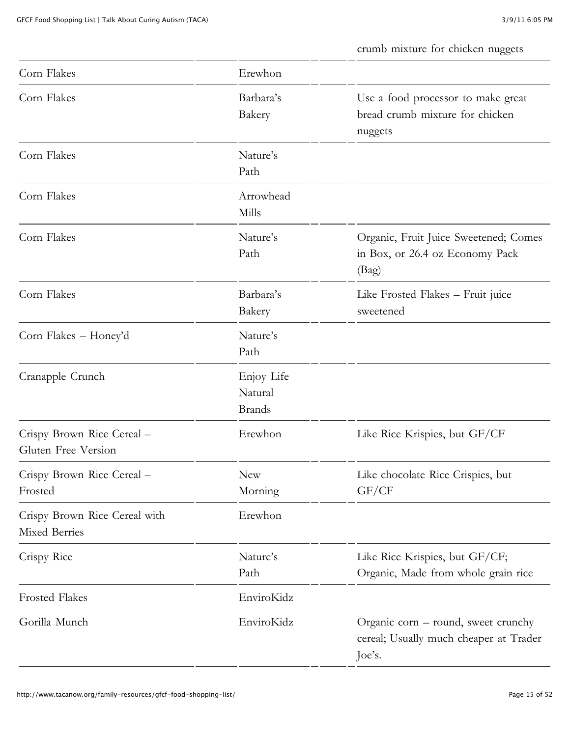crumb mixture for chicken nuggets

| Corn Flakes                                       | Erewhon                                |                                                                                         |
|---------------------------------------------------|----------------------------------------|-----------------------------------------------------------------------------------------|
| Corn Flakes                                       | Barbara's<br>Bakery                    | Use a food processor to make great<br>bread crumb mixture for chicken<br>nuggets        |
| Corn Flakes                                       | Nature's<br>Path                       |                                                                                         |
| Corn Flakes                                       | Arrowhead<br>Mills                     |                                                                                         |
| Corn Flakes                                       | Nature's<br>Path                       | Organic, Fruit Juice Sweetened; Comes<br>in Box, or 26.4 oz Economy Pack<br>(Bag)       |
| Corn Flakes                                       | Barbara's<br>Bakery                    | Like Frosted Flakes – Fruit juice<br>sweetened                                          |
| Corn Flakes - Honey'd                             | Nature's<br>Path                       |                                                                                         |
| Cranapple Crunch                                  | Enjoy Life<br>Natural<br><b>Brands</b> |                                                                                         |
| Crispy Brown Rice Cereal -<br>Gluten Free Version | Erewhon                                | Like Rice Krispies, but GF/CF                                                           |
| Crispy Brown Rice Cereal -<br>Frosted             | New<br>Morning                         | Like chocolate Rice Crispies, but<br>GF/CF                                              |
| Crispy Brown Rice Cereal with<br>Mixed Berries    | Erewhon                                |                                                                                         |
| Crispy Rice                                       | Nature's<br>Path                       | Like Rice Krispies, but GF/CF;<br>Organic, Made from whole grain rice                   |
| <b>Frosted Flakes</b>                             | EnviroKidz                             |                                                                                         |
| Gorilla Munch                                     | EnviroKidz                             | Organic corn – round, sweet crunchy<br>cereal; Usually much cheaper at Trader<br>Joe's. |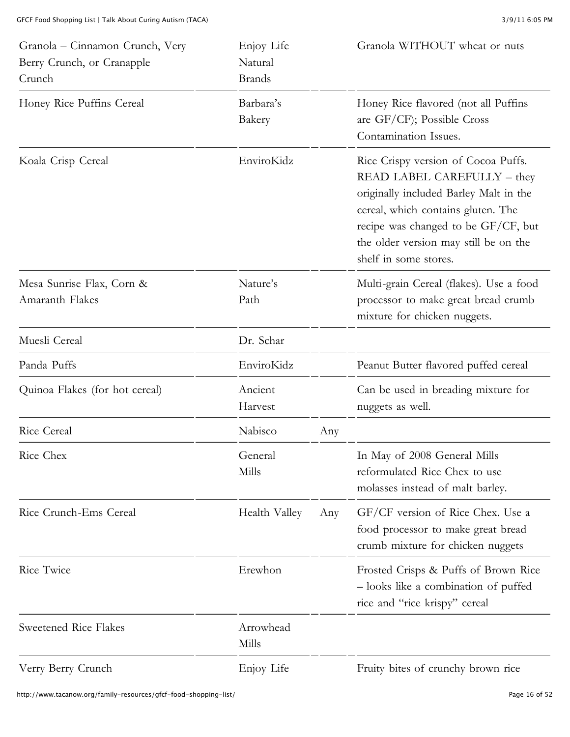| Granola - Cinnamon Crunch, Very<br>Berry Crunch, or Cranapple<br>Crunch | Enjoy Life<br>Natural<br><b>Brands</b> |     | Granola WITHOUT wheat or nuts                                                                                                                                                                                                                               |
|-------------------------------------------------------------------------|----------------------------------------|-----|-------------------------------------------------------------------------------------------------------------------------------------------------------------------------------------------------------------------------------------------------------------|
| Honey Rice Puffins Cereal                                               | Barbara's<br>Bakery                    |     | Honey Rice flavored (not all Puffins<br>are GF/CF); Possible Cross<br>Contamination Issues.                                                                                                                                                                 |
| Koala Crisp Cereal                                                      | EnviroKidz                             |     | Rice Crispy version of Cocoa Puffs.<br>READ LABEL CAREFULLY - they<br>originally included Barley Malt in the<br>cereal, which contains gluten. The<br>recipe was changed to be GF/CF, but<br>the older version may still be on the<br>shelf in some stores. |
| Mesa Sunrise Flax, Corn &<br>Amaranth Flakes                            | Nature's<br>Path                       |     | Multi-grain Cereal (flakes). Use a food<br>processor to make great bread crumb<br>mixture for chicken nuggets.                                                                                                                                              |
| Muesli Cereal                                                           | Dr. Schar                              |     |                                                                                                                                                                                                                                                             |
| Panda Puffs                                                             | EnviroKidz                             |     | Peanut Butter flavored puffed cereal                                                                                                                                                                                                                        |
| Quinoa Flakes (for hot cereal)                                          | Ancient<br>Harvest                     |     | Can be used in breading mixture for<br>nuggets as well.                                                                                                                                                                                                     |
| <b>Rice Cereal</b>                                                      | Nabisco                                | Any |                                                                                                                                                                                                                                                             |
| Rice Chex                                                               | General<br>Mills                       |     | In May of 2008 General Mills<br>reformulated Rice Chex to use<br>molasses instead of malt barley.                                                                                                                                                           |
| Rice Crunch-Ems Cereal                                                  | Health Valley                          | Any | GF/CF version of Rice Chex. Use a<br>food processor to make great bread<br>crumb mixture for chicken nuggets                                                                                                                                                |
| Rice Twice                                                              | Erewhon                                |     | Frosted Crisps & Puffs of Brown Rice<br>- looks like a combination of puffed<br>rice and "rice krispy" cereal                                                                                                                                               |
| Sweetened Rice Flakes                                                   | Arrowhead<br>Mills                     |     |                                                                                                                                                                                                                                                             |
| Verry Berry Crunch                                                      | Enjoy Life                             |     | Fruity bites of crunchy brown rice                                                                                                                                                                                                                          |

http://www.tacanow.org/family-resources/gfcf-food-shopping-list/ Page 16 of 52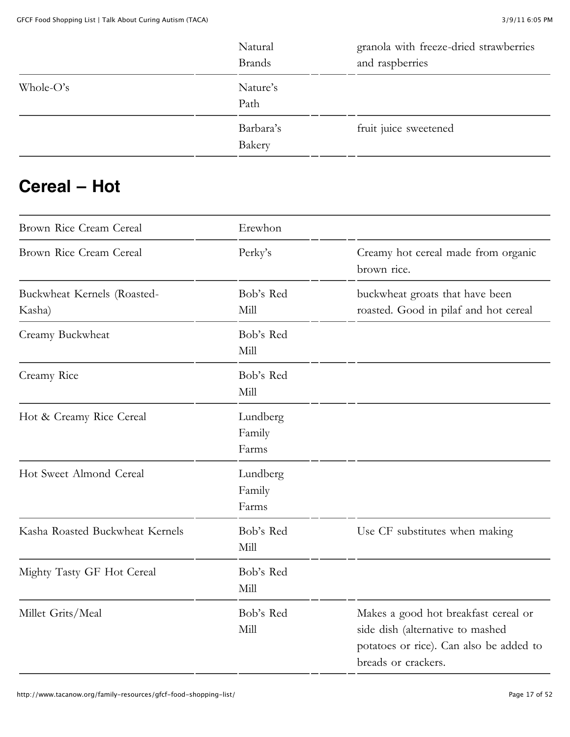|              | Natural<br><b>Brands</b> | granola with freeze-dried strawberries<br>and raspberries |
|--------------|--------------------------|-----------------------------------------------------------|
| Whole- $O's$ | Nature's<br>Path         |                                                           |
|              | Barbara's<br>Bakery      | fruit juice sweetened                                     |

#### **Cereal – Hot**

| Brown Rice Cream Cereal               | Erewhon                     |                                                                                                                                            |
|---------------------------------------|-----------------------------|--------------------------------------------------------------------------------------------------------------------------------------------|
| Brown Rice Cream Cereal               | Perky's                     | Creamy hot cereal made from organic<br>brown rice.                                                                                         |
| Buckwheat Kernels (Roasted-<br>Kasha) | Bob's Red<br>Mill           | buckwheat groats that have been<br>roasted. Good in pilaf and hot cereal                                                                   |
| Creamy Buckwheat                      | Bob's Red<br>Mill           |                                                                                                                                            |
| Creamy Rice                           | Bob's Red<br>Mill           |                                                                                                                                            |
| Hot & Creamy Rice Cereal              | Lundberg<br>Family<br>Farms |                                                                                                                                            |
| Hot Sweet Almond Cereal               | Lundberg<br>Family<br>Farms |                                                                                                                                            |
| Kasha Roasted Buckwheat Kernels       | Bob's Red<br>Mill           | Use CF substitutes when making                                                                                                             |
| Mighty Tasty GF Hot Cereal            | Bob's Red<br>Mill           |                                                                                                                                            |
| Millet Grits/Meal                     | Bob's Red<br>Mill           | Makes a good hot breakfast cereal or<br>side dish (alternative to mashed<br>potatoes or rice). Can also be added to<br>breads or crackers. |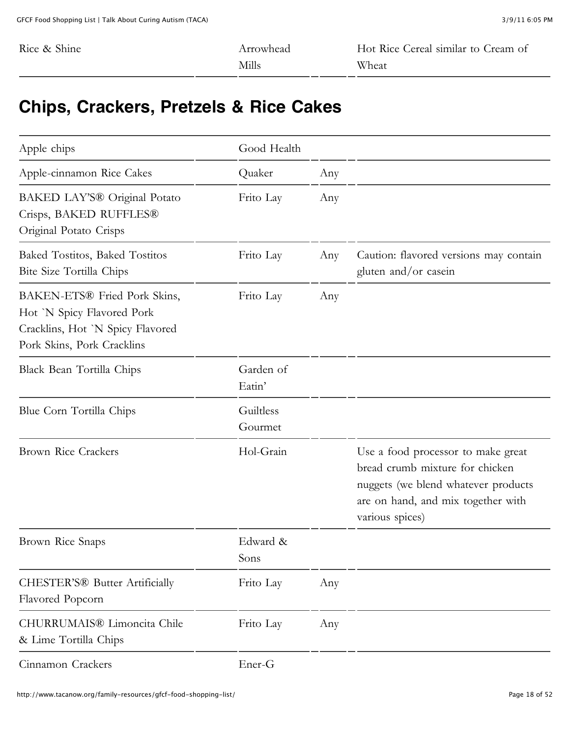| Rice & Shine | Arrowhead | Hot Rice Cereal similar to Cream of |
|--------------|-----------|-------------------------------------|
|              | Mills     | Wheat                               |

### **Chips, Crackers, Pretzels & Rice Cakes**

| Apple chips                                                                                                                  | Good Health          |     |                                                                                                                                                                       |
|------------------------------------------------------------------------------------------------------------------------------|----------------------|-----|-----------------------------------------------------------------------------------------------------------------------------------------------------------------------|
| Apple-cinnamon Rice Cakes                                                                                                    | Quaker               | Any |                                                                                                                                                                       |
| BAKED LAY'S® Original Potato<br>Crisps, BAKED RUFFLES®<br>Original Potato Crisps                                             | Frito Lay            | Any |                                                                                                                                                                       |
| Baked Tostitos, Baked Tostitos<br>Bite Size Tortilla Chips                                                                   | Frito Lay            | Any | Caution: flavored versions may contain<br>gluten and/or casein                                                                                                        |
| BAKEN-ETS® Fried Pork Skins,<br>Hot 'N Spicy Flavored Pork<br>Cracklins, Hot `N Spicy Flavored<br>Pork Skins, Pork Cracklins | Frito Lay            | Any |                                                                                                                                                                       |
| Black Bean Tortilla Chips                                                                                                    | Garden of<br>Eatin'  |     |                                                                                                                                                                       |
| Blue Corn Tortilla Chips                                                                                                     | Guiltless<br>Gourmet |     |                                                                                                                                                                       |
| <b>Brown Rice Crackers</b>                                                                                                   | Hol-Grain            |     | Use a food processor to make great<br>bread crumb mixture for chicken<br>nuggets (we blend whatever products<br>are on hand, and mix together with<br>various spices) |
| Brown Rice Snaps                                                                                                             | Edward &<br>Sons     |     |                                                                                                                                                                       |
| CHESTER'S® Butter Artificially<br>Flavored Popcorn                                                                           | Frito Lay            | Any |                                                                                                                                                                       |
| CHURRUMAIS® Limoncita Chile<br>& Lime Tortilla Chips                                                                         | Frito Lay            | Any |                                                                                                                                                                       |
| Cinnamon Crackers                                                                                                            | Ener-G               |     |                                                                                                                                                                       |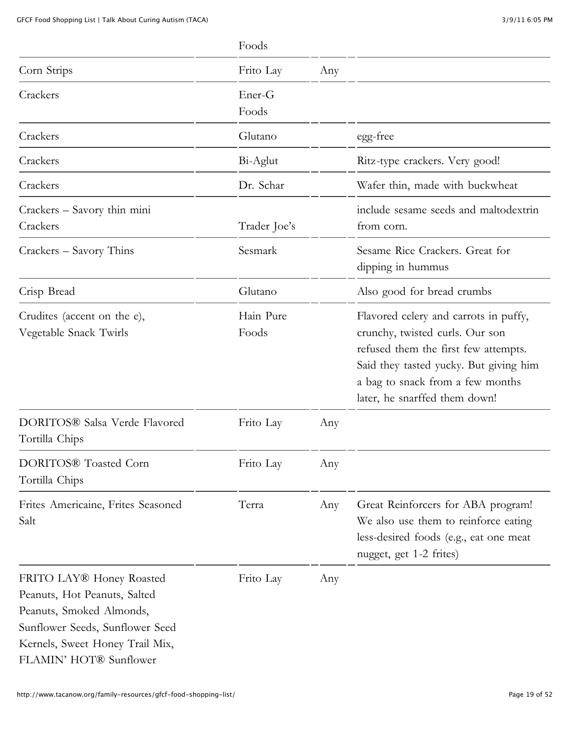|                                                                                                                                                                                      | Foods              |     |                                                                                                                                                                                                                                 |
|--------------------------------------------------------------------------------------------------------------------------------------------------------------------------------------|--------------------|-----|---------------------------------------------------------------------------------------------------------------------------------------------------------------------------------------------------------------------------------|
| Corn Strips                                                                                                                                                                          | Frito Lay          | Any |                                                                                                                                                                                                                                 |
| Crackers                                                                                                                                                                             | Ener-G<br>Foods    |     |                                                                                                                                                                                                                                 |
| Crackers                                                                                                                                                                             | Glutano            |     | egg-free                                                                                                                                                                                                                        |
| Crackers                                                                                                                                                                             | Bi-Aglut           |     | Ritz-type crackers. Very good!                                                                                                                                                                                                  |
| Crackers                                                                                                                                                                             | Dr. Schar          |     | Wafer thin, made with buckwheat                                                                                                                                                                                                 |
| Crackers - Savory thin mini<br>Crackers                                                                                                                                              | Trader Joe's       |     | include sesame seeds and maltodextrin<br>from corn.                                                                                                                                                                             |
| Crackers – Savory Thins                                                                                                                                                              | Sesmark            |     | Sesame Rice Crackers. Great for<br>dipping in hummus                                                                                                                                                                            |
| Crisp Bread                                                                                                                                                                          | Glutano            |     | Also good for bread crumbs                                                                                                                                                                                                      |
| Crudites (accent on the e),<br>Vegetable Snack Twirls                                                                                                                                | Hain Pure<br>Foods |     | Flavored celery and carrots in puffy,<br>crunchy, twisted curls. Our son<br>refused them the first few attempts.<br>Said they tasted yucky. But giving him<br>a bag to snack from a few months<br>later, he snarffed them down! |
| DORITOS® Salsa Verde Flavored<br>Tortilla Chips                                                                                                                                      | Frito Lay          | Any |                                                                                                                                                                                                                                 |
| DORITOS® Toasted Corn<br>Tortilla Chips                                                                                                                                              | Frito Lay          | Any |                                                                                                                                                                                                                                 |
| Frites Americaine, Frites Seasoned<br>Salt                                                                                                                                           | Terra              | Any | Great Reinforcers for ABA program!<br>We also use them to reinforce eating<br>less-desired foods (e.g., eat one meat<br>nugget, get 1-2 frites)                                                                                 |
| FRITO LAY® Honey Roasted<br>Peanuts, Hot Peanuts, Salted<br>Peanuts, Smoked Almonds,<br>Sunflower Seeds, Sunflower Seed<br>Kernels, Sweet Honey Trail Mix,<br>FLAMIN' HOT® Sunflower | Frito Lay          | Any |                                                                                                                                                                                                                                 |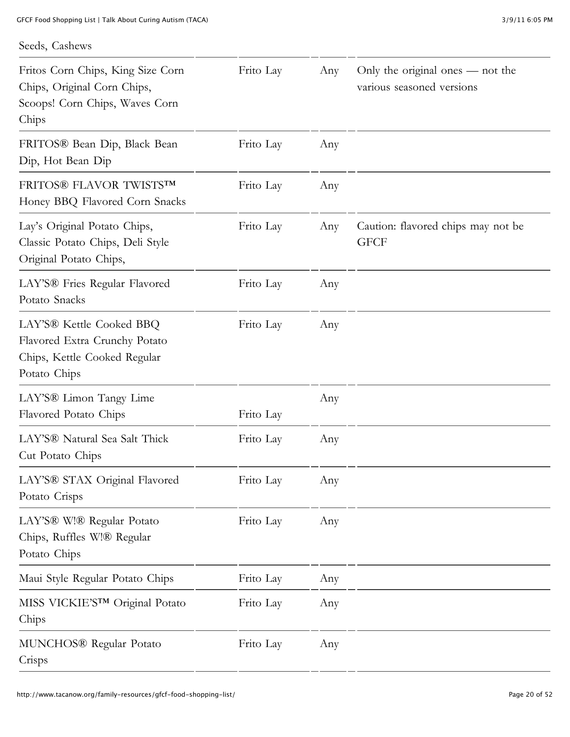#### Seeds, Cashews

| Fritos Corn Chips, King Size Corn<br>Chips, Original Corn Chips,<br>Scoops! Corn Chips, Waves Corn<br>Chips           | Frito Lay | Any | Only the original ones — not the<br>various seasoned versions |
|-----------------------------------------------------------------------------------------------------------------------|-----------|-----|---------------------------------------------------------------|
| FRITOS® Bean Dip, Black Bean<br>Dip, Hot Bean Dip                                                                     | Frito Lay | Any |                                                               |
| FRITOS® FLAVOR TWISTSTM<br>Honey BBQ Flavored Corn Snacks                                                             | Frito Lay | Any |                                                               |
| Lay's Original Potato Chips,<br>Classic Potato Chips, Deli Style<br>Original Potato Chips,                            | Frito Lay | Any | Caution: flavored chips may not be<br><b>GFCF</b>             |
| LAY'S <sup>®</sup> Fries Regular Flavored<br>Potato Snacks                                                            | Frito Lay | Any |                                                               |
| LAY'S <sup>®</sup> Kettle Cooked BBQ<br>Flavored Extra Crunchy Potato<br>Chips, Kettle Cooked Regular<br>Potato Chips | Frito Lay | Any |                                                               |
| LAY'S <sup>®</sup> Limon Tangy Lime<br>Flavored Potato Chips                                                          | Frito Lay | Any |                                                               |
| LAY'S® Natural Sea Salt Thick<br>Cut Potato Chips                                                                     | Frito Lay | Any |                                                               |
| LAY'S® STAX Original Flavored<br>Potato Crisps                                                                        | Frito Lay | Any |                                                               |
| LAY'S <sup>®</sup> W!® Regular Potato<br>Chips, Ruffles W!® Regular<br>Potato Chips                                   | Frito Lay | Any |                                                               |
| Maui Style Regular Potato Chips                                                                                       | Frito Lay | Any |                                                               |
| MISS VICKIE'STM Original Potato<br>Chips                                                                              | Frito Lay | Any |                                                               |
| MUNCHOS® Regular Potato<br>Crisps                                                                                     | Frito Lay | Any |                                                               |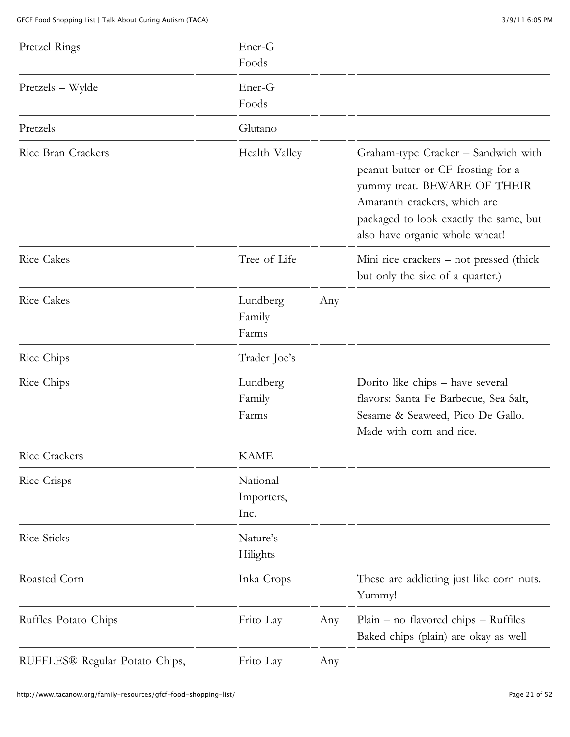| Pretzel Rings                  | Ener-G<br>Foods                |     |                                                                                                                                                                                                                       |
|--------------------------------|--------------------------------|-----|-----------------------------------------------------------------------------------------------------------------------------------------------------------------------------------------------------------------------|
| Pretzels – Wylde               | Ener-G<br>Foods                |     |                                                                                                                                                                                                                       |
| Pretzels                       | Glutano                        |     |                                                                                                                                                                                                                       |
| Rice Bran Crackers             | Health Valley                  |     | Graham-type Cracker - Sandwich with<br>peanut butter or CF frosting for a<br>yummy treat. BEWARE OF THEIR<br>Amaranth crackers, which are<br>packaged to look exactly the same, but<br>also have organic whole wheat! |
| <b>Rice Cakes</b>              | Tree of Life                   |     | Mini rice crackers – not pressed (thick<br>but only the size of a quarter.)                                                                                                                                           |
| <b>Rice Cakes</b>              | Lundberg<br>Family<br>Farms    | Any |                                                                                                                                                                                                                       |
| Rice Chips                     | Trader Joe's                   |     |                                                                                                                                                                                                                       |
| Rice Chips                     | Lundberg<br>Family<br>Farms    |     | Dorito like chips - have several<br>flavors: Santa Fe Barbecue, Sea Salt,<br>Sesame & Seaweed, Pico De Gallo.<br>Made with corn and rice.                                                                             |
| Rice Crackers                  | <b>KAME</b>                    |     |                                                                                                                                                                                                                       |
| Rice Crisps                    | National<br>Importers,<br>Inc. |     |                                                                                                                                                                                                                       |
| Rice Sticks                    | Nature's<br>Hilights           |     |                                                                                                                                                                                                                       |
| Roasted Corn                   | Inka Crops                     |     | These are addicting just like corn nuts.<br>Yummy!                                                                                                                                                                    |
| Ruffles Potato Chips           | Frito Lay                      | Any | $Plain - no\text{ flavored chips} - Ruffiles$<br>Baked chips (plain) are okay as well                                                                                                                                 |
| RUFFLES® Regular Potato Chips, | Frito Lay                      | Any |                                                                                                                                                                                                                       |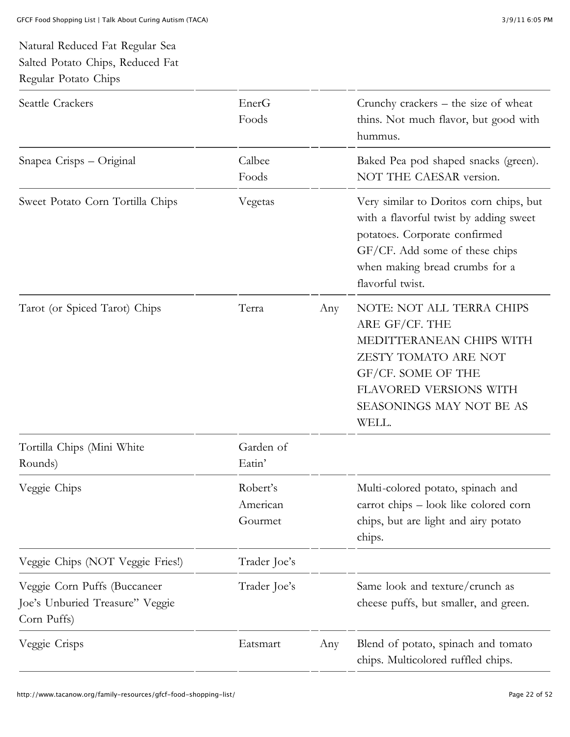#### Natural Reduced Fat Regular Sea Salted Potato Chips, Reduced Fat Regular Potato Chips

| Seattle Crackers                                                               | EnerG<br>Foods                  |     | Crunchy crackers $-$ the size of wheat<br>thins. Not much flavor, but good with<br>hummus.                                                                                                                 |
|--------------------------------------------------------------------------------|---------------------------------|-----|------------------------------------------------------------------------------------------------------------------------------------------------------------------------------------------------------------|
| Snapea Crisps - Original                                                       | Calbee<br>Foods                 |     | Baked Pea pod shaped snacks (green).<br>NOT THE CAESAR version.                                                                                                                                            |
| Sweet Potato Corn Tortilla Chips                                               | Vegetas                         |     | Very similar to Doritos corn chips, but<br>with a flavorful twist by adding sweet<br>potatoes. Corporate confirmed<br>GF/CF. Add some of these chips<br>when making bread crumbs for a<br>flavorful twist. |
| Tarot (or Spiced Tarot) Chips                                                  | Terra                           | Any | NOTE: NOT ALL TERRA CHIPS<br>ARE GF/CF. THE<br>MEDITTERANEAN CHIPS WITH<br>ZESTY TOMATO ARE NOT<br>GF/CF. SOME OF THE<br>FLAVORED VERSIONS WITH<br>SEASONINGS MAY NOT BE AS<br>WELL.                       |
| Tortilla Chips (Mini White<br>Rounds)                                          | Garden of<br>Eatin'             |     |                                                                                                                                                                                                            |
| Veggie Chips                                                                   | Robert's<br>American<br>Gourmet |     | Multi-colored potato, spinach and<br>carrot chips - look like colored corn<br>chips, but are light and airy potato<br>chips.                                                                               |
| Veggie Chips (NOT Veggie Fries!)                                               | Trader Joe's                    |     |                                                                                                                                                                                                            |
| Veggie Corn Puffs (Buccaneer<br>Joe's Unburied Treasure" Veggie<br>Corn Puffs) | Trader Joe's                    |     | Same look and texture/crunch as<br>cheese puffs, but smaller, and green.                                                                                                                                   |
| Veggie Crisps                                                                  | Eatsmart                        | Any | Blend of potato, spinach and tomato<br>chips. Multicolored ruffled chips.                                                                                                                                  |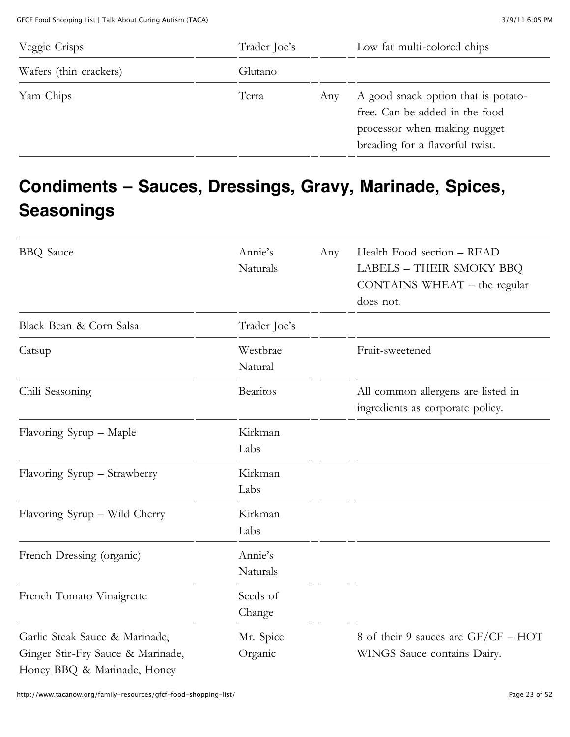GFCF Food Shopping List | Talk About Curing Autism (TACA) 3/9/11 6:05 PM

| Veggie Crisps          | Trader Joe's |     | Low fat multi-colored chips                                                                                                              |
|------------------------|--------------|-----|------------------------------------------------------------------------------------------------------------------------------------------|
| Wafers (thin crackers) | Glutano      |     |                                                                                                                                          |
| Yam Chips              | Terra        | Any | A good snack option that is potato-<br>free. Can be added in the food<br>processor when making nugget<br>breading for a flavorful twist. |

# **Condiments – Sauces, Dressings, Gravy, Marinade, Spices, Seasonings**

| <b>BBQ</b> Sauce                  | Annie's         | Any | Health Food section - READ          |
|-----------------------------------|-----------------|-----|-------------------------------------|
|                                   | Naturals        |     | <b>LABELS - THEIR SMOKY BBQ</b>     |
|                                   |                 |     | $CONTAINS WHEREAT - the regular$    |
|                                   |                 |     | does not.                           |
| Black Bean & Corn Salsa           | Trader Joe's    |     |                                     |
| Catsup                            | Westbrae        |     | Fruit-sweetened                     |
|                                   | Natural         |     |                                     |
| Chili Seasoning                   | <b>Bearitos</b> |     | All common allergens are listed in  |
|                                   |                 |     | ingredients as corporate policy.    |
| Flavoring Syrup - Maple           | Kirkman         |     |                                     |
|                                   | Labs            |     |                                     |
| Flavoring Syrup - Strawberry      | Kirkman         |     |                                     |
|                                   | Labs            |     |                                     |
| Flavoring Syrup - Wild Cherry     | Kirkman         |     |                                     |
|                                   | Labs            |     |                                     |
| French Dressing (organic)         | Annie's         |     |                                     |
|                                   | Naturals        |     |                                     |
| French Tomato Vinaigrette         | Seeds of        |     |                                     |
|                                   | Change          |     |                                     |
| Garlic Steak Sauce & Marinade,    | Mr. Spice       |     | 8 of their 9 sauces are GF/CF - HOT |
| Ginger Stir-Fry Sauce & Marinade, | Organic         |     | WINGS Sauce contains Dairy.         |
| Honey BBQ & Marinade, Honey       |                 |     |                                     |

http://www.tacanow.org/family-resources/gfcf-food-shopping-list/ Page 23 of 52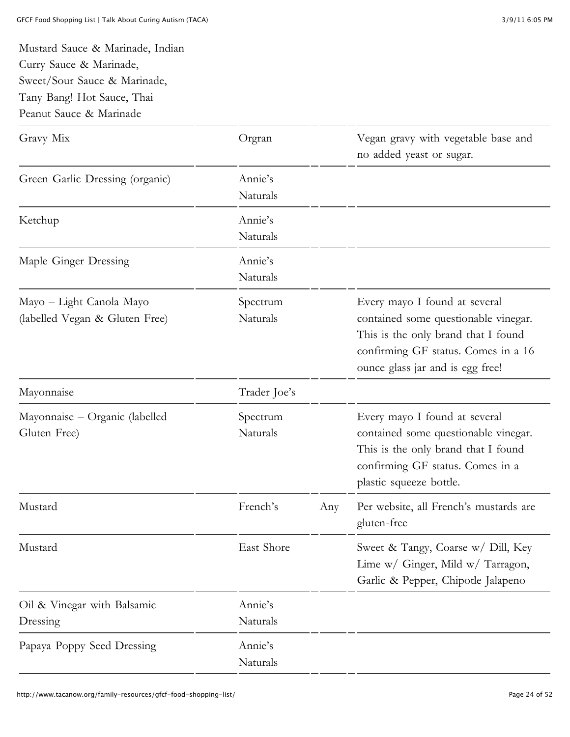Mustard Sauce & Marinade, Indian

Curry Sauce & Marinade,

| Sweet/Sour Sauce & Marinade,<br>Tany Bang! Hot Sauce, Thai<br>Peanut Sauce & Marinade |                      |     |                                                                                                                                                                                         |
|---------------------------------------------------------------------------------------|----------------------|-----|-----------------------------------------------------------------------------------------------------------------------------------------------------------------------------------------|
| Gravy Mix                                                                             | Orgran               |     | Vegan gravy with vegetable base and<br>no added yeast or sugar.                                                                                                                         |
| Green Garlic Dressing (organic)                                                       | Annie's<br>Naturals  |     |                                                                                                                                                                                         |
| Ketchup                                                                               | Annie's<br>Naturals  |     |                                                                                                                                                                                         |
| Maple Ginger Dressing                                                                 | Annie's<br>Naturals  |     |                                                                                                                                                                                         |
| Mayo - Light Canola Mayo<br>(labelled Vegan & Gluten Free)                            | Spectrum<br>Naturals |     | Every mayo I found at several<br>contained some questionable vinegar.<br>This is the only brand that I found<br>confirming GF status. Comes in a 16<br>ounce glass jar and is egg free! |
| Mayonnaise                                                                            | Trader Joe's         |     |                                                                                                                                                                                         |
| Mayonnaise - Organic (labelled<br>Gluten Free)                                        | Spectrum<br>Naturals |     | Every mayo I found at several<br>contained some questionable vinegar.<br>This is the only brand that I found<br>confirming GF status. Comes in a<br>plastic squeeze bottle.             |
| Mustard                                                                               | French's             | Any | Per website, all French's mustards are<br>gluten-free                                                                                                                                   |
| Mustard                                                                               | East Shore           |     | Sweet & Tangy, Coarse w/ Dill, Key<br>Lime w/ Ginger, Mild w/ Tarragon,<br>Garlic & Pepper, Chipotle Jalapeno                                                                           |
| Oil & Vinegar with Balsamic<br>Dressing                                               | Annie's<br>Naturals  |     |                                                                                                                                                                                         |
| Papaya Poppy Seed Dressing                                                            | Annie's<br>Naturals  |     |                                                                                                                                                                                         |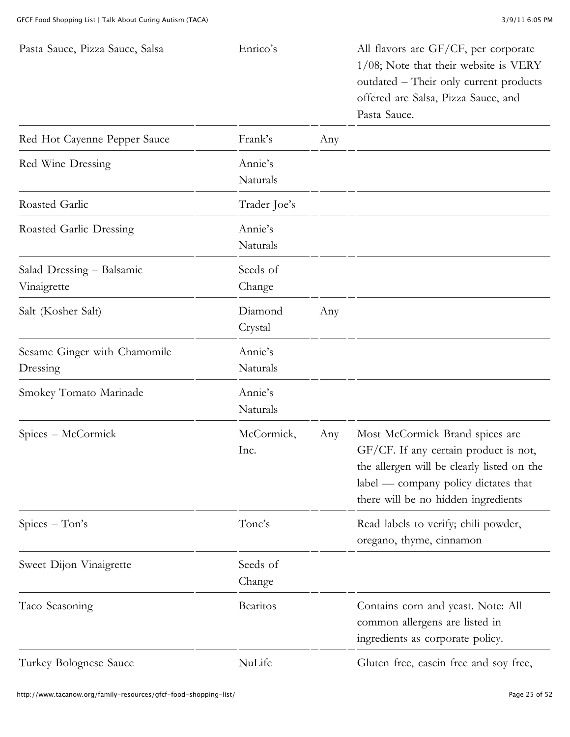| Pasta Sauce, Pizza Sauce, Salsa          | Enrico's            |     | All flavors are GF/CF, per corporate<br>$1/08$ ; Note that their website is VERY<br>outdated – Their only current products<br>offered are Salsa, Pizza Sauce, and<br>Pasta Sauce.                     |
|------------------------------------------|---------------------|-----|-------------------------------------------------------------------------------------------------------------------------------------------------------------------------------------------------------|
| Red Hot Cayenne Pepper Sauce             | Frank's             | Any |                                                                                                                                                                                                       |
| Red Wine Dressing                        | Annie's<br>Naturals |     |                                                                                                                                                                                                       |
| Roasted Garlic                           | Trader Joe's        |     |                                                                                                                                                                                                       |
| Roasted Garlic Dressing                  | Annie's<br>Naturals |     |                                                                                                                                                                                                       |
| Salad Dressing - Balsamic<br>Vinaigrette | Seeds of<br>Change  |     |                                                                                                                                                                                                       |
| Salt (Kosher Salt)                       | Diamond<br>Crystal  | Any |                                                                                                                                                                                                       |
| Sesame Ginger with Chamomile<br>Dressing | Annie's<br>Naturals |     |                                                                                                                                                                                                       |
| Smokey Tomato Marinade                   | Annie's<br>Naturals |     |                                                                                                                                                                                                       |
| Spices – McCormick                       | McCormick,<br>Inc.  | Any | Most McCormick Brand spices are<br>GF/CF. If any certain product is not,<br>the allergen will be clearly listed on the<br>label — company policy dictates that<br>there will be no hidden ingredients |
| $Spices - Ton's$                         | Tone's              |     | Read labels to verify; chili powder,<br>oregano, thyme, cinnamon                                                                                                                                      |
| Sweet Dijon Vinaigrette                  | Seeds of<br>Change  |     |                                                                                                                                                                                                       |
| Taco Seasoning                           | Bearitos            |     | Contains corn and yeast. Note: All<br>common allergens are listed in<br>ingredients as corporate policy.                                                                                              |
| Turkey Bolognese Sauce                   | NuLife              |     | Gluten free, casein free and soy free,                                                                                                                                                                |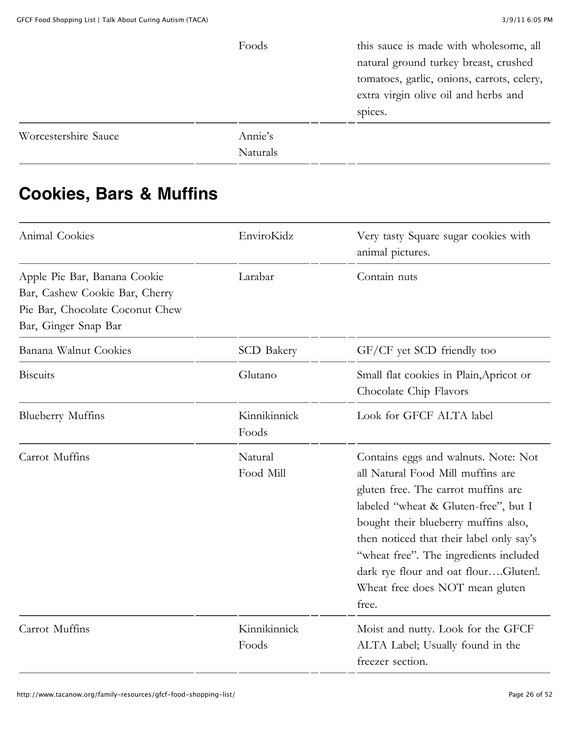|                      | Foods    | this sauce is made with wholesome, all     |
|----------------------|----------|--------------------------------------------|
|                      |          | natural ground turkey breast, crushed      |
|                      |          | tomatoes, garlic, onions, carrots, celery, |
|                      |          | extra virgin olive oil and herbs and       |
|                      |          | spices.                                    |
| Worcestershire Sauce | Annie's  |                                            |
|                      | Naturals |                                            |

# **Cookies, Bars & Muffins**

| Animal Cookies                                                                                                            | EnviroKidz            | Very tasty Square sugar cookies with<br>animal pictures.                                                                                                                                                                                                                                                                                                                   |
|---------------------------------------------------------------------------------------------------------------------------|-----------------------|----------------------------------------------------------------------------------------------------------------------------------------------------------------------------------------------------------------------------------------------------------------------------------------------------------------------------------------------------------------------------|
| Apple Pie Bar, Banana Cookie<br>Bar, Cashew Cookie Bar, Cherry<br>Pie Bar, Chocolate Coconut Chew<br>Bar, Ginger Snap Bar | Larabar               | Contain nuts                                                                                                                                                                                                                                                                                                                                                               |
| Banana Walnut Cookies                                                                                                     | <b>SCD</b> Bakery     | GF/CF yet SCD friendly too                                                                                                                                                                                                                                                                                                                                                 |
| <b>Biscuits</b>                                                                                                           | Glutano               | Small flat cookies in Plain, Apricot or<br>Chocolate Chip Flavors                                                                                                                                                                                                                                                                                                          |
| <b>Blueberry Muffins</b>                                                                                                  | Kinnikinnick<br>Foods | Look for GFCF ALTA label                                                                                                                                                                                                                                                                                                                                                   |
| Carrot Muffins                                                                                                            | Natural<br>Food Mill  | Contains eggs and walnuts. Note: Not<br>all Natural Food Mill muffins are<br>gluten free. The carrot muffins are<br>labeled "wheat & Gluten-free", but I<br>bought their blueberry muffins also,<br>then noticed that their label only say's<br>"wheat free". The ingredients included<br>dark rye flour and oat flourGluten!.<br>Wheat free does NOT mean gluten<br>free. |
| Carrot Muffins                                                                                                            | Kinnikinnick<br>Foods | Moist and nutty. Look for the GFCF<br>ALTA Label; Usually found in the<br>freezer section.                                                                                                                                                                                                                                                                                 |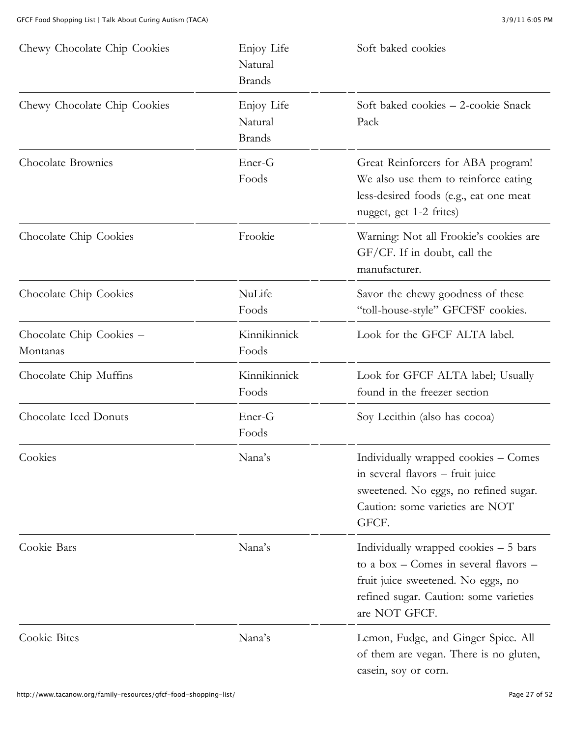| Chewy Chocolate Chip Cookies         | Enjoy Life<br>Natural<br><b>Brands</b> | Soft baked cookies                                                                                                                                                               |
|--------------------------------------|----------------------------------------|----------------------------------------------------------------------------------------------------------------------------------------------------------------------------------|
| Chewy Chocolate Chip Cookies         | Enjoy Life<br>Natural<br><b>Brands</b> | Soft baked cookies - 2-cookie Snack<br>Pack                                                                                                                                      |
| Chocolate Brownies                   | Ener-G<br>Foods                        | Great Reinforcers for ABA program!<br>We also use them to reinforce eating<br>less-desired foods (e.g., eat one meat<br>nugget, get 1-2 frites)                                  |
| Chocolate Chip Cookies               | Frookie                                | Warning: Not all Frookie's cookies are<br>GF/CF. If in doubt, call the<br>manufacturer.                                                                                          |
| Chocolate Chip Cookies               | NuLife<br>Foods                        | Savor the chewy goodness of these<br>"toll-house-style" GFCFSF cookies.                                                                                                          |
| Chocolate Chip Cookies -<br>Montanas | Kinnikinnick<br>Foods                  | Look for the GFCF ALTA label.                                                                                                                                                    |
| Chocolate Chip Muffins               | Kinnikinnick<br>Foods                  | Look for GFCF ALTA label; Usually<br>found in the freezer section                                                                                                                |
| Chocolate Iced Donuts                | Ener-G<br>Foods                        | Soy Lecithin (also has cocoa)                                                                                                                                                    |
| Cookies                              | Nana's                                 | Individually wrapped cookies - Comes<br>in several flavors – fruit juice<br>sweetened. No eggs, no refined sugar.<br>Caution: some varieties are NOT<br>GFCF.                    |
| Cookie Bars                          | Nana's                                 | Individually wrapped cookies $-5$ bars<br>to a box – Comes in several flavors –<br>fruit juice sweetened. No eggs, no<br>refined sugar. Caution: some varieties<br>are NOT GFCF. |
| Cookie Bites                         | Nana's                                 | Lemon, Fudge, and Ginger Spice. All<br>of them are vegan. There is no gluten,<br>casein, soy or corn.                                                                            |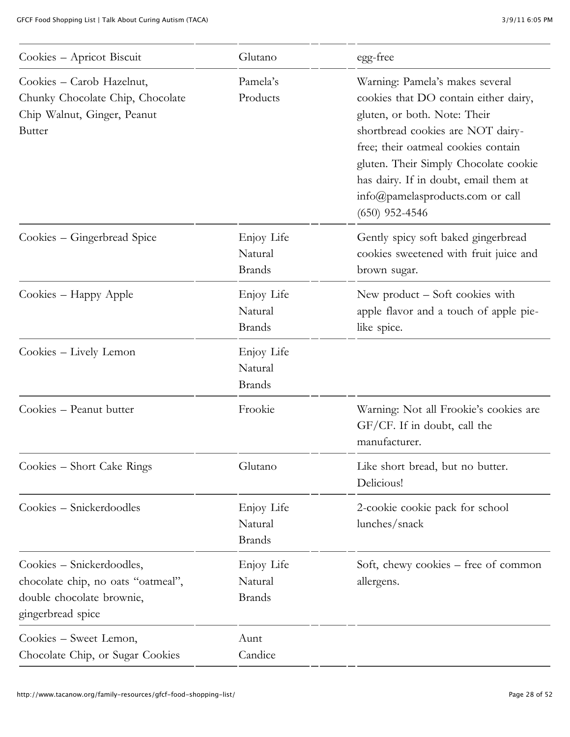| Cookies - Apricot Biscuit                                                                                         | Glutano                                | egg-free                                                                                                                                                                                                                                                                                                                       |
|-------------------------------------------------------------------------------------------------------------------|----------------------------------------|--------------------------------------------------------------------------------------------------------------------------------------------------------------------------------------------------------------------------------------------------------------------------------------------------------------------------------|
| Cookies - Carob Hazelnut,<br>Chunky Chocolate Chip, Chocolate<br>Chip Walnut, Ginger, Peanut<br><b>Butter</b>     | Pamela's<br>Products                   | Warning: Pamela's makes several<br>cookies that DO contain either dairy,<br>gluten, or both. Note: Their<br>shortbread cookies are NOT dairy-<br>free; their oatmeal cookies contain<br>gluten. Their Simply Chocolate cookie<br>has dairy. If in doubt, email them at<br>info@pamelasproducts.com or call<br>$(650)$ 952-4546 |
| Cookies - Gingerbread Spice                                                                                       | Enjoy Life<br>Natural<br><b>Brands</b> | Gently spicy soft baked gingerbread<br>cookies sweetened with fruit juice and<br>brown sugar.                                                                                                                                                                                                                                  |
| Cookies - Happy Apple                                                                                             | Enjoy Life<br>Natural<br><b>Brands</b> | New product – Soft cookies with<br>apple flavor and a touch of apple pie-<br>like spice.                                                                                                                                                                                                                                       |
| Cookies – Lively Lemon                                                                                            | Enjoy Life<br>Natural<br><b>Brands</b> |                                                                                                                                                                                                                                                                                                                                |
| Cookies - Peanut butter                                                                                           | Frookie                                | Warning: Not all Frookie's cookies are<br>GF/CF. If in doubt, call the<br>manufacturer.                                                                                                                                                                                                                                        |
| Cookies – Short Cake Rings                                                                                        | Glutano                                | Like short bread, but no butter.<br>Delicious!                                                                                                                                                                                                                                                                                 |
| Cookies – Snickerdoodles                                                                                          | Enjoy Life<br>Natural<br><b>Brands</b> | 2-cookie cookie pack for school<br>lunches/snack                                                                                                                                                                                                                                                                               |
| Cookies – Snickerdoodles,<br>chocolate chip, no oats "oatmeal",<br>double chocolate brownie,<br>gingerbread spice | Enjoy Life<br>Natural<br><b>Brands</b> | Soft, chewy cookies – free of common<br>allergens.                                                                                                                                                                                                                                                                             |
| Cookies – Sweet Lemon,<br>Chocolate Chip, or Sugar Cookies                                                        | Aunt<br>Candice                        |                                                                                                                                                                                                                                                                                                                                |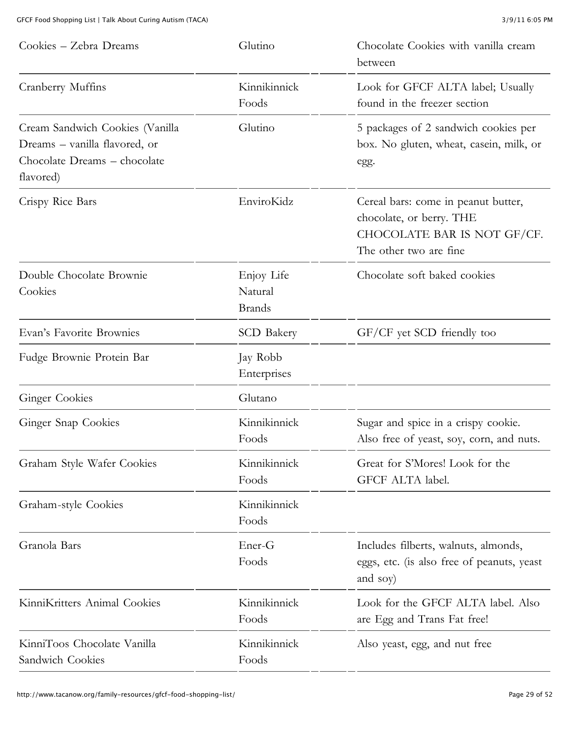| Cookies – Zebra Dreams                                                                                        | Glutino                                | Chocolate Cookies with vanilla cream<br>between                                                                          |
|---------------------------------------------------------------------------------------------------------------|----------------------------------------|--------------------------------------------------------------------------------------------------------------------------|
| Cranberry Muffins                                                                                             | Kinnikinnick<br>Foods                  | Look for GFCF ALTA label; Usually<br>found in the freezer section                                                        |
| Cream Sandwich Cookies (Vanilla<br>Dreams – vanilla flavored, or<br>Chocolate Dreams - chocolate<br>flavored) | Glutino                                | 5 packages of 2 sandwich cookies per<br>box. No gluten, wheat, casein, milk, or<br>egg.                                  |
| Crispy Rice Bars                                                                                              | EnviroKidz                             | Cereal bars: come in peanut butter,<br>chocolate, or berry. THE<br>CHOCOLATE BAR IS NOT GF/CF.<br>The other two are fine |
| Double Chocolate Brownie<br>Cookies                                                                           | Enjoy Life<br>Natural<br><b>Brands</b> | Chocolate soft baked cookies                                                                                             |
| Evan's Favorite Brownies                                                                                      | <b>SCD</b> Bakery                      | GF/CF yet SCD friendly too                                                                                               |
| Fudge Brownie Protein Bar                                                                                     | Jay Robb<br>Enterprises                |                                                                                                                          |
| <b>Ginger Cookies</b>                                                                                         | Glutano                                |                                                                                                                          |
| Ginger Snap Cookies                                                                                           | Kinnikinnick<br>Foods                  | Sugar and spice in a crispy cookie.<br>Also free of yeast, soy, corn, and nuts.                                          |
| Graham Style Wafer Cookies                                                                                    | Kinnikinnick<br>Foods                  | Great for S'Mores! Look for the<br>GFCF ALTA label.                                                                      |
| Graham-style Cookies                                                                                          | Kinnikinnick<br>Foods                  |                                                                                                                          |
| Granola Bars                                                                                                  | Ener-G<br>Foods                        | Includes filberts, walnuts, almonds,<br>eggs, etc. (is also free of peanuts, yeast<br>and soy)                           |
| KinniKritters Animal Cookies                                                                                  | Kinnikinnick<br>Foods                  | Look for the GFCF ALTA label. Also<br>are Egg and Trans Fat free!                                                        |
| KinniToos Chocolate Vanilla<br>Sandwich Cookies                                                               | Kinnikinnick<br>Foods                  | Also yeast, egg, and nut free                                                                                            |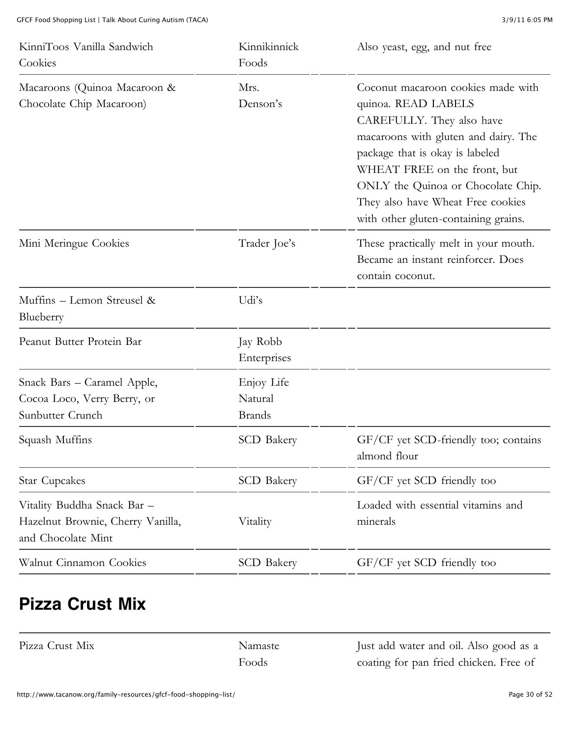| KinniToos Vanilla Sandwich<br>Cookies                                                  | Kinnikinnick<br>Foods                  | Also yeast, egg, and nut free                                                                                                                                                                                                                                                                                        |
|----------------------------------------------------------------------------------------|----------------------------------------|----------------------------------------------------------------------------------------------------------------------------------------------------------------------------------------------------------------------------------------------------------------------------------------------------------------------|
| Macaroons (Quinoa Macaroon &<br>Chocolate Chip Macaroon)                               | Mrs.<br>Denson's                       | Coconut macaroon cookies made with<br>quinoa. READ LABELS<br>CAREFULLY. They also have<br>macaroons with gluten and dairy. The<br>package that is okay is labeled<br>WHEAT FREE on the front, but<br>ONLY the Quinoa or Chocolate Chip.<br>They also have Wheat Free cookies<br>with other gluten-containing grains. |
| Mini Meringue Cookies                                                                  | Trader Joe's                           | These practically melt in your mouth.<br>Became an instant reinforcer. Does<br>contain coconut.                                                                                                                                                                                                                      |
| Muffins - Lemon Streusel &<br>Blueberry                                                | Udi's                                  |                                                                                                                                                                                                                                                                                                                      |
| Peanut Butter Protein Bar                                                              | Jay Robb<br>Enterprises                |                                                                                                                                                                                                                                                                                                                      |
| Snack Bars - Caramel Apple,<br>Cocoa Loco, Verry Berry, or<br>Sunbutter Crunch         | Enjoy Life<br>Natural<br><b>Brands</b> |                                                                                                                                                                                                                                                                                                                      |
| Squash Muffins                                                                         | <b>SCD</b> Bakery                      | GF/CF yet SCD-friendly too; contains<br>almond flour                                                                                                                                                                                                                                                                 |
| <b>Star Cupcakes</b>                                                                   | <b>SCD</b> Bakery                      | GF/CF yet SCD friendly too                                                                                                                                                                                                                                                                                           |
| Vitality Buddha Snack Bar -<br>Hazelnut Brownie, Cherry Vanilla,<br>and Chocolate Mint | Vitality                               | Loaded with essential vitamins and<br>minerals                                                                                                                                                                                                                                                                       |
| Walnut Cinnamon Cookies                                                                | <b>SCD</b> Bakery                      | GF/CF yet SCD friendly too                                                                                                                                                                                                                                                                                           |

#### **Pizza Crust Mix**

Pizza Crust Mix [Namaste](http://www.namastefoods.com/)

Foods

Just add water and oil. Also good as a coating for pan fried chicken. Free of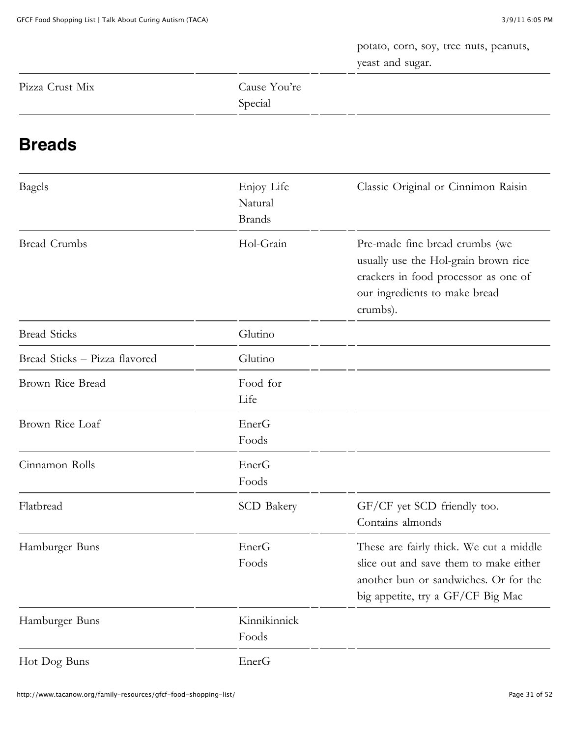potato, corn, soy, tree nuts, peanuts, yeast and sugar.

| Pizza Crust Mix | Cause You're |
|-----------------|--------------|
|                 | Special<br>. |

#### **Breads**

| <b>Bagels</b>                 | Enjoy Life<br>Natural<br><b>Brands</b> | Classic Original or Cinnimon Raisin                                                                                                                             |
|-------------------------------|----------------------------------------|-----------------------------------------------------------------------------------------------------------------------------------------------------------------|
| <b>Bread Crumbs</b>           | Hol-Grain                              | Pre-made fine bread crumbs (we<br>usually use the Hol-grain brown rice<br>crackers in food processor as one of<br>our ingredients to make bread<br>crumbs).     |
| <b>Bread Sticks</b>           | Glutino                                |                                                                                                                                                                 |
| Bread Sticks - Pizza flavored | Glutino                                |                                                                                                                                                                 |
| Brown Rice Bread              | Food for<br>Life                       |                                                                                                                                                                 |
| Brown Rice Loaf               | EnerG<br>Foods                         |                                                                                                                                                                 |
| Cinnamon Rolls                | EnerG<br>Foods                         |                                                                                                                                                                 |
| Flatbread                     | <b>SCD Bakery</b>                      | GF/CF yet SCD friendly too.<br>Contains almonds                                                                                                                 |
| Hamburger Buns                | EnerG<br>Foods                         | These are fairly thick. We cut a middle<br>slice out and save them to make either<br>another bun or sandwiches. Or for the<br>big appetite, try a GF/CF Big Mac |
| Hamburger Buns                | Kinnikinnick<br>Foods                  |                                                                                                                                                                 |
| Hot Dog Buns                  | EnerG                                  |                                                                                                                                                                 |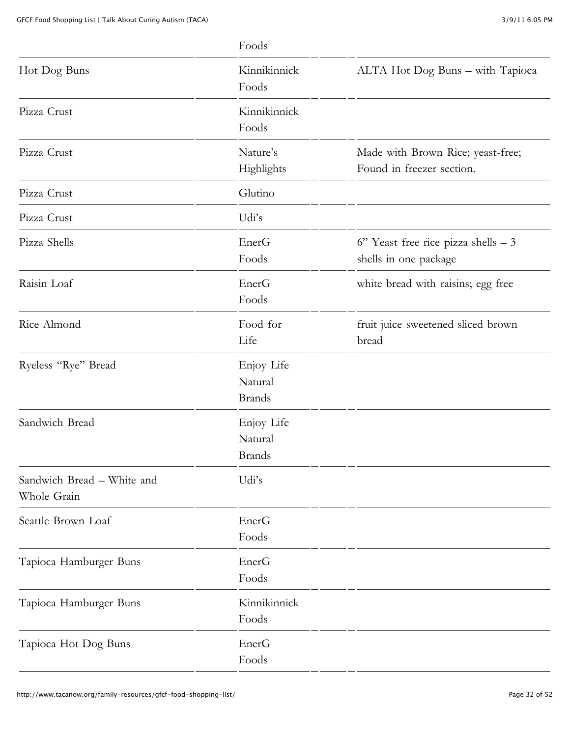|                                           | Foods                                  |                                                                 |
|-------------------------------------------|----------------------------------------|-----------------------------------------------------------------|
| Hot Dog Buns                              | Kinnikinnick<br>Foods                  | ALTA Hot Dog Buns - with Tapioca                                |
| Pizza Crust                               | Kinnikinnick<br>Foods                  |                                                                 |
| Pizza Crust                               | Nature's<br>Highlights                 | Made with Brown Rice; yeast-free;<br>Found in freezer section.  |
| Pizza Crust                               | Glutino                                |                                                                 |
| Pizza Crust                               | Udi's                                  |                                                                 |
| Pizza Shells                              | EnerG<br>Foods                         | $6"$ Yeast free rice pizza shells $-3$<br>shells in one package |
| Raisin Loaf                               | EnerG<br>Foods                         | white bread with raisins; egg free                              |
| Rice Almond                               | Food for<br>Life                       | fruit juice sweetened sliced brown<br>bread                     |
| Ryeless "Rye" Bread                       | Enjoy Life<br>Natural<br><b>Brands</b> |                                                                 |
| Sandwich Bread                            | Enjoy Life<br>Natural<br><b>Brands</b> |                                                                 |
| Sandwich Bread - White and<br>Whole Grain | Udi's                                  |                                                                 |
| Seattle Brown Loaf                        | EnerG<br>Foods                         |                                                                 |
| Tapioca Hamburger Buns                    | EnerG<br>Foods                         |                                                                 |
| Tapioca Hamburger Buns                    | Kinnikinnick<br>Foods                  |                                                                 |
| Tapioca Hot Dog Buns                      | EnerG<br>Foods                         |                                                                 |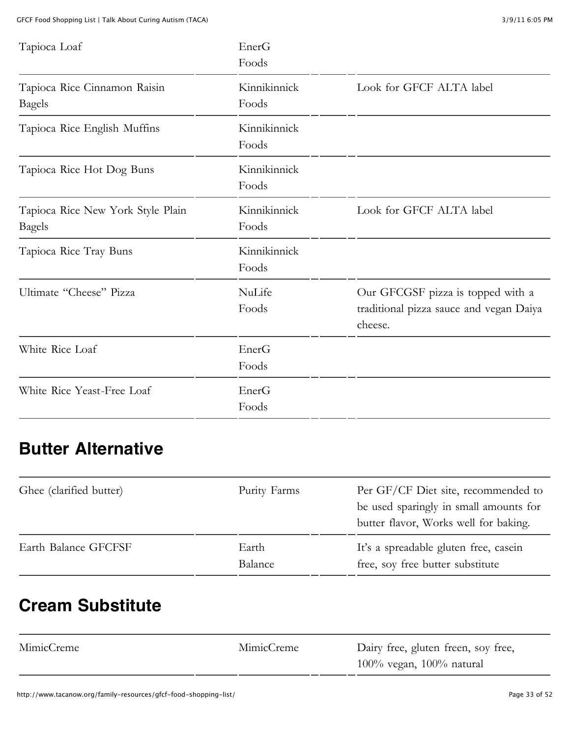| Tapioca Loaf                                       | EnerG<br>Foods        |                                                                                         |
|----------------------------------------------------|-----------------------|-----------------------------------------------------------------------------------------|
| Tapioca Rice Cinnamon Raisin<br><b>Bagels</b>      | Kinnikinnick<br>Foods | Look for GFCF ALTA label                                                                |
| Tapioca Rice English Muffins                       | Kinnikinnick<br>Foods |                                                                                         |
| Tapioca Rice Hot Dog Buns                          | Kinnikinnick<br>Foods |                                                                                         |
| Tapioca Rice New York Style Plain<br><b>Bagels</b> | Kinnikinnick<br>Foods | Look for GFCF ALTA label                                                                |
| Tapioca Rice Tray Buns                             | Kinnikinnick<br>Foods |                                                                                         |
| Ultimate "Cheese" Pizza                            | NuLife<br>Foods       | Our GFCGSF pizza is topped with a<br>traditional pizza sauce and vegan Daiya<br>cheese. |
| White Rice Loaf                                    | EnerG<br>Foods        |                                                                                         |
| White Rice Yeast-Free Loaf                         | EnerG<br>Foods        |                                                                                         |

### **Butter Alternative**

| Ghee (clarified butter) | Purity Farms     | Per GF/CF Diet site, recommended to<br>be used sparingly in small amounts for<br>butter flavor, Works well for baking. |
|-------------------------|------------------|------------------------------------------------------------------------------------------------------------------------|
| Earth Balance GFCFSF    | Earth<br>Balance | It's a spreadable gluten free, casein<br>free, soy free butter substitute                                              |

#### **Cream Substitute**

| MimicCreme | MimicCreme | Dairy free, gluten freen, soy free, |
|------------|------------|-------------------------------------|
|            |            | $100\%$ vegan, $100\%$ natural      |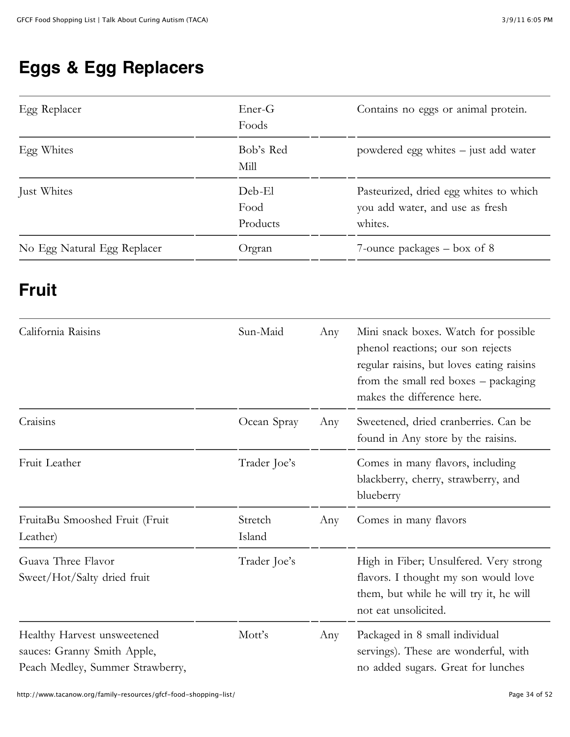### **Eggs & Egg Replacers**

| Egg Replacer                | Ener-G<br>Foods            | Contains no eggs or animal protein.                                                  |
|-----------------------------|----------------------------|--------------------------------------------------------------------------------------|
| Egg Whites                  | Bob's Red<br>Mill          | powdered egg whites – just add water                                                 |
| Just Whites                 | Deb-El<br>Food<br>Products | Pasteurized, dried egg whites to which<br>you add water, and use as fresh<br>whites. |
| No Egg Natural Egg Replacer | Orgran                     | 7-ounce packages $-$ box of 8                                                        |

#### **Fruit**

| California Raisins                                                                             | Sun-Maid          | Any | Mini snack boxes. Watch for possible<br>phenol reactions; our son rejects<br>regular raisins, but loves eating raisins<br>from the small red boxes – packaging<br>makes the difference here. |
|------------------------------------------------------------------------------------------------|-------------------|-----|----------------------------------------------------------------------------------------------------------------------------------------------------------------------------------------------|
| Craisins                                                                                       | Ocean Spray       | Any | Sweetened, dried cranberries. Can be<br>found in Any store by the raisins.                                                                                                                   |
| Fruit Leather                                                                                  | Trader Joe's      |     | Comes in many flavors, including<br>blackberry, cherry, strawberry, and<br>blueberry                                                                                                         |
| FruitaBu Smooshed Fruit (Fruit<br>Leather)                                                     | Stretch<br>Island | Any | Comes in many flavors                                                                                                                                                                        |
| Guava Three Flavor<br>Sweet/Hot/Salty dried fruit                                              | Trader Joe's      |     | High in Fiber; Unsulfered. Very strong<br>flavors. I thought my son would love<br>them, but while he will try it, he will<br>not eat unsolicited.                                            |
| Healthy Harvest unsweetened<br>sauces: Granny Smith Apple,<br>Peach Medley, Summer Strawberry, | Mott's            | Any | Packaged in 8 small individual<br>servings). These are wonderful, with<br>no added sugars. Great for lunches                                                                                 |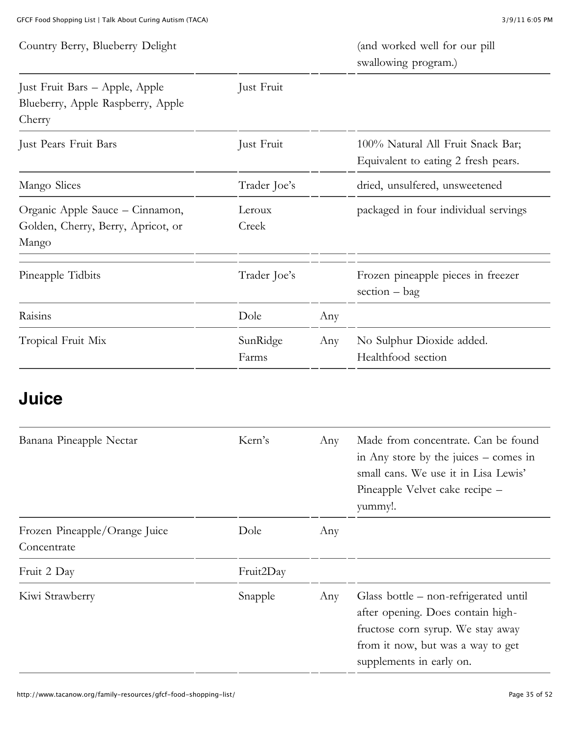| Country Berry, Blueberry Delight                                               |                   |     | (and worked well for our pill<br>swallowing program.)                    |
|--------------------------------------------------------------------------------|-------------------|-----|--------------------------------------------------------------------------|
| Just Fruit Bars - Apple, Apple<br>Blueberry, Apple Raspberry, Apple<br>Cherry  | Just Fruit        |     |                                                                          |
| Just Pears Fruit Bars                                                          | Just Fruit        |     | 100% Natural All Fruit Snack Bar;<br>Equivalent to eating 2 fresh pears. |
| Mango Slices                                                                   | Trader Joe's      |     | dried, unsulfered, unsweetened                                           |
| Organic Apple Sauce - Cinnamon,<br>Golden, Cherry, Berry, Apricot, or<br>Mango | Leroux<br>Creek   |     | packaged in four individual servings                                     |
| Pineapple Tidbits                                                              | Trader Joe's      |     | Frozen pineapple pieces in freezer<br>$section - bag$                    |
| Raisins                                                                        | Dole              | Any |                                                                          |
| Tropical Fruit Mix                                                             | SunRidge<br>Farms | Any | No Sulphur Dioxide added.<br>Healthfood section                          |

#### **Juice**

| Banana Pineapple Nectar                      | Kern's    | Any | Made from concentrate. Can be found<br>in Any store by the juices $-$ comes in<br>small cans. We use it in Lisa Lewis'<br>Pineapple Velvet cake recipe -<br>yummy!.              |
|----------------------------------------------|-----------|-----|----------------------------------------------------------------------------------------------------------------------------------------------------------------------------------|
| Frozen Pineapple/Orange Juice<br>Concentrate | Dole      | Any |                                                                                                                                                                                  |
| Fruit 2 Day                                  | Fruit2Day |     |                                                                                                                                                                                  |
| Kiwi Strawberry                              | Snapple   | Any | Glass bottle – non-refrigerated until<br>after opening. Does contain high-<br>fructose corn syrup. We stay away<br>from it now, but was a way to get<br>supplements in early on. |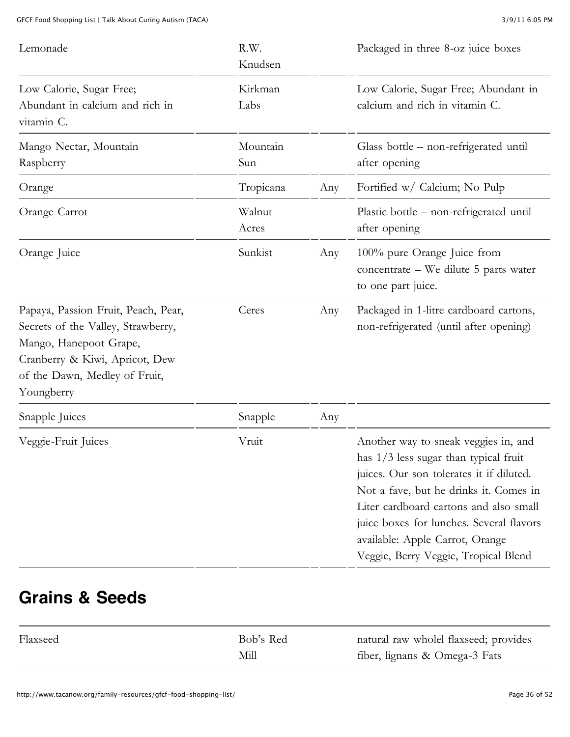| Lemonade                                                                                                                                                                             | R.W.<br>Knudsen |     | Packaged in three 8-oz juice boxes                                                                                                                                                                                                                                                                                                     |
|--------------------------------------------------------------------------------------------------------------------------------------------------------------------------------------|-----------------|-----|----------------------------------------------------------------------------------------------------------------------------------------------------------------------------------------------------------------------------------------------------------------------------------------------------------------------------------------|
| Low Calorie, Sugar Free;<br>Abundant in calcium and rich in<br>vitamin C.                                                                                                            | Kirkman<br>Labs |     | Low Calorie, Sugar Free; Abundant in<br>calcium and rich in vitamin C.                                                                                                                                                                                                                                                                 |
| Mango Nectar, Mountain<br>Raspberry                                                                                                                                                  | Mountain<br>Sun |     | Glass bottle - non-refrigerated until<br>after opening                                                                                                                                                                                                                                                                                 |
| Orange                                                                                                                                                                               | Tropicana       | Any | Fortified w/ Calcium; No Pulp                                                                                                                                                                                                                                                                                                          |
| Orange Carrot                                                                                                                                                                        | Walnut<br>Acres |     | Plastic bottle – non-refrigerated until<br>after opening                                                                                                                                                                                                                                                                               |
| Orange Juice                                                                                                                                                                         | Sunkist         | Any | 100% pure Orange Juice from<br>concentrate – We dilute 5 parts water<br>to one part juice.                                                                                                                                                                                                                                             |
| Papaya, Passion Fruit, Peach, Pear,<br>Secrets of the Valley, Strawberry,<br>Mango, Hanepoot Grape,<br>Cranberry & Kiwi, Apricot, Dew<br>of the Dawn, Medley of Fruit,<br>Youngberry | Ceres           | Any | Packaged in 1-litre cardboard cartons,<br>non-refrigerated (until after opening)                                                                                                                                                                                                                                                       |
| Snapple Juices                                                                                                                                                                       | Snapple         | Any |                                                                                                                                                                                                                                                                                                                                        |
| Veggie-Fruit Juices                                                                                                                                                                  | Vruit           |     | Another way to sneak veggies in, and<br>has $1/3$ less sugar than typical fruit<br>juices. Our son tolerates it if diluted.<br>Not a fave, but he drinks it. Comes in<br>Liter cardboard cartons and also small<br>juice boxes for lunches. Several flavors<br>available: Apple Carrot, Orange<br>Veggie, Berry Veggie, Tropical Blend |

#### **Grains & Seeds**

| Flaxseed | Bob's Red | natural raw wholel flaxseed; provides |
|----------|-----------|---------------------------------------|
|          | Mill      | fiber, lignans & Omega-3 Fats         |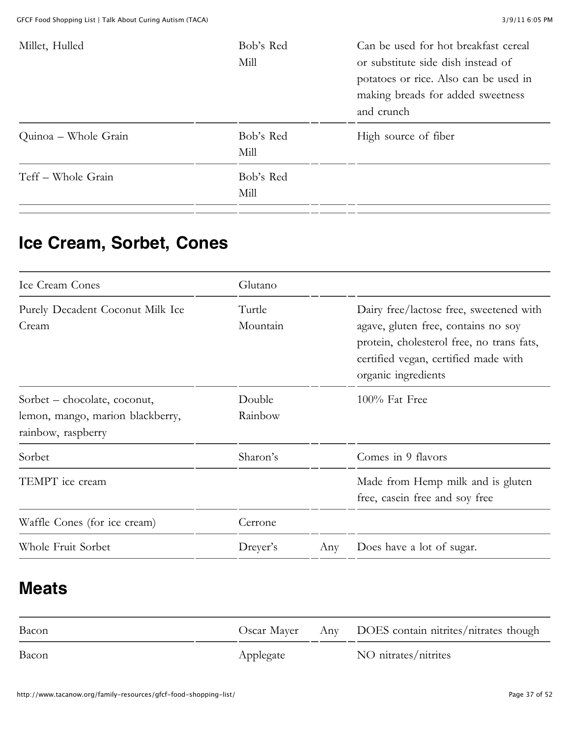| Millet, Hulled       | Bob's Red | Can be used for hot breakfast cereal  |
|----------------------|-----------|---------------------------------------|
|                      | Mill      | or substitute side dish instead of    |
|                      |           | potatoes or rice. Also can be used in |
|                      |           | making breads for added sweetness     |
|                      |           | and crunch                            |
| Quinoa – Whole Grain | Bob's Red | High source of fiber                  |
|                      | Mill      |                                       |
| Teff – Whole Grain   | Bob's Red |                                       |
|                      | Mill      |                                       |
|                      |           |                                       |

#### **Ice Cream, Sorbet, Cones**

| Ice Cream Cones                                                                        | Glutano            |     |                                                                                                                                                                                            |
|----------------------------------------------------------------------------------------|--------------------|-----|--------------------------------------------------------------------------------------------------------------------------------------------------------------------------------------------|
| Purely Decadent Coconut Milk Ice<br>Cream                                              | Turtle<br>Mountain |     | Dairy free/lactose free, sweetened with<br>agave, gluten free, contains no soy<br>protein, cholesterol free, no trans fats,<br>certified vegan, certified made with<br>organic ingredients |
| Sorbet – chocolate, coconut,<br>lemon, mango, marion blackberry,<br>rainbow, raspberry | Double<br>Rainbow  |     | $100\%$ Fat Free                                                                                                                                                                           |
| Sorbet                                                                                 | Sharon's           |     | Comes in 9 flavors                                                                                                                                                                         |
| TEMPT ice cream                                                                        |                    |     | Made from Hemp milk and is gluten<br>free, case in free and soy free                                                                                                                       |
| Waffle Cones (for ice cream)                                                           | Cerrone            |     |                                                                                                                                                                                            |
| Whole Fruit Sorbet                                                                     | Dreyer's           | Any | Does have a lot of sugar.                                                                                                                                                                  |

#### **Meats**

| Bacon |           | Oscar Mayer Any DOES contain nitrites/nitrates though |
|-------|-----------|-------------------------------------------------------|
| Bacon | Applegate | NO nitrates/nitrites                                  |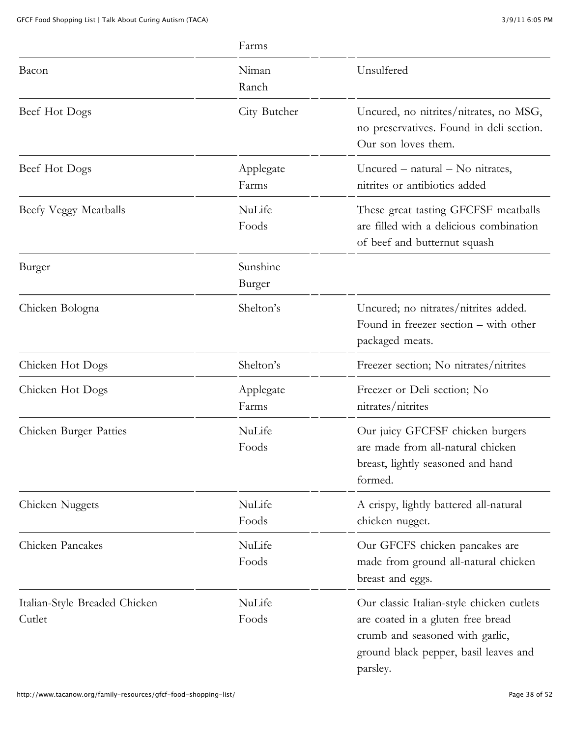|                                         | Farms              |                                                                                                                                                                        |
|-----------------------------------------|--------------------|------------------------------------------------------------------------------------------------------------------------------------------------------------------------|
| Bacon                                   | Niman<br>Ranch     | Unsulfered                                                                                                                                                             |
| Beef Hot Dogs                           | City Butcher       | Uncured, no nitrites/nitrates, no MSG,<br>no preservatives. Found in deli section.<br>Our son loves them.                                                              |
| Beef Hot Dogs                           | Applegate<br>Farms | Uncured $-$ natural $-$ No nitrates,<br>nitrites or antibiotics added                                                                                                  |
| Beefy Veggy Meatballs                   | NuLife<br>Foods    | These great tasting GFCFSF meatballs<br>are filled with a delicious combination<br>of beef and butternut squash                                                        |
| Burger                                  | Sunshine<br>Burger |                                                                                                                                                                        |
| Chicken Bologna                         | Shelton's          | Uncured; no nitrates/nitrites added.<br>Found in freezer section – with other<br>packaged meats.                                                                       |
| Chicken Hot Dogs                        | Shelton's          | Freezer section; No nitrates/nitrites                                                                                                                                  |
| Chicken Hot Dogs                        | Applegate<br>Farms | Freezer or Deli section; No<br>nitrates/nitrites                                                                                                                       |
| Chicken Burger Patties                  | NuLife<br>Foods    | Our juicy GFCFSF chicken burgers<br>are made from all-natural chicken<br>breast, lightly seasoned and hand<br>formed.                                                  |
| Chicken Nuggets                         | NuLife<br>Foods    | A crispy, lightly battered all-natural<br>chicken nugget.                                                                                                              |
| Chicken Pancakes                        | NuLife<br>Foods    | Our GFCFS chicken pancakes are<br>made from ground all-natural chicken<br>breast and eggs.                                                                             |
| Italian-Style Breaded Chicken<br>Cutlet | NuLife<br>Foods    | Our classic Italian-style chicken cutlets<br>are coated in a gluten free bread<br>crumb and seasoned with garlic,<br>ground black pepper, basil leaves and<br>parsley. |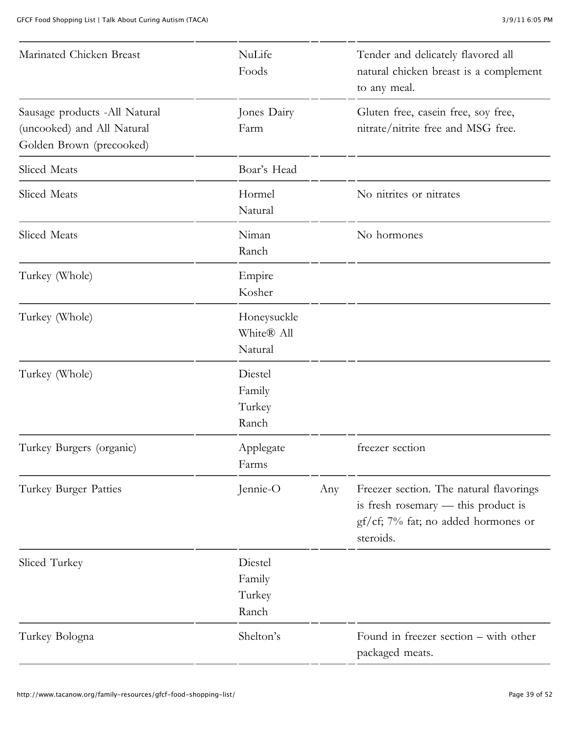| Marinated Chicken Breast                                                                | NuLife<br>Foods                      |     | Tender and delicately flavored all<br>natural chicken breast is a complement<br>to any meal.                                       |
|-----------------------------------------------------------------------------------------|--------------------------------------|-----|------------------------------------------------------------------------------------------------------------------------------------|
| Sausage products -All Natural<br>(uncooked) and All Natural<br>Golden Brown (precooked) | Jones Dairy<br>Farm                  |     | Gluten free, casein free, soy free,<br>nitrate/nitrite free and MSG free.                                                          |
| Sliced Meats                                                                            | Boar's Head                          |     |                                                                                                                                    |
| Sliced Meats                                                                            | Hormel<br>Natural                    |     | No nitrites or nitrates                                                                                                            |
| Sliced Meats                                                                            | Niman<br>Ranch                       |     | No hormones                                                                                                                        |
| Turkey (Whole)                                                                          | Empire<br>Kosher                     |     |                                                                                                                                    |
| Turkey (Whole)                                                                          | Honeysuckle<br>White® All<br>Natural |     |                                                                                                                                    |
| Turkey (Whole)                                                                          | Diestel<br>Family<br>Turkey<br>Ranch |     |                                                                                                                                    |
| Turkey Burgers (organic)                                                                | Applegate<br>Farms                   |     | freezer section                                                                                                                    |
| Turkey Burger Patties                                                                   | Jennie-O                             | Any | Freezer section. The natural flavorings<br>is fresh rosemary - this product is<br>gf/cf; 7% fat; no added hormones or<br>steroids. |
| Sliced Turkey                                                                           | Diestel<br>Family<br>Turkey<br>Ranch |     |                                                                                                                                    |
| Turkey Bologna                                                                          | Shelton's                            |     | Found in freezer section – with other<br>packaged meats.                                                                           |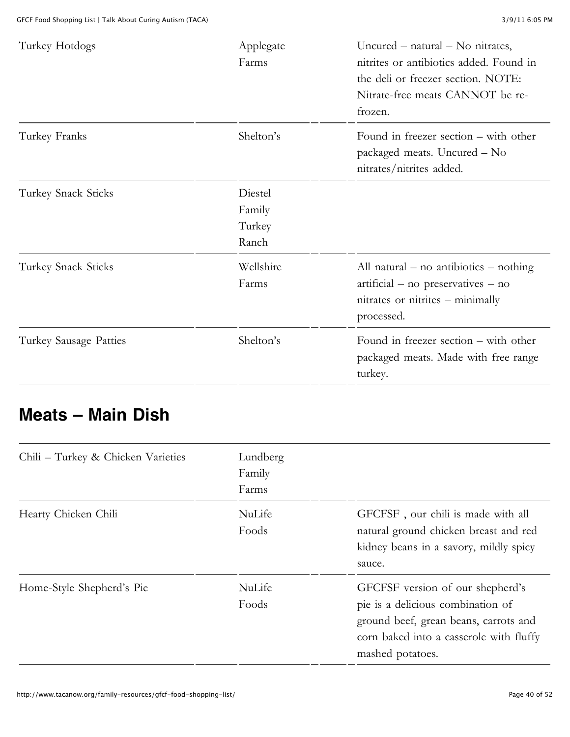| Turkey Hotdogs         | Applegate<br>Farms                   | Uncured $-$ natural $-$ No nitrates,<br>nitrites or antibiotics added. Found in<br>the deli or freezer section. NOTE:<br>Nitrate-free meats CANNOT be re-<br>frozen. |
|------------------------|--------------------------------------|----------------------------------------------------------------------------------------------------------------------------------------------------------------------|
| Turkey Franks          | Shelton's                            | Found in freezer section – with other<br>packaged meats. Uncured - No<br>nitrates/nitrites added.                                                                    |
| Turkey Snack Sticks    | Diestel<br>Family<br>Turkey<br>Ranch |                                                                                                                                                                      |
| Turkey Snack Sticks    | Wellshire<br>Farms                   | All natural – no antibiotics – nothing<br>artificial – no preservatives – no<br>nitrates or nitrites – minimally<br>processed.                                       |
| Turkey Sausage Patties | Shelton's                            | Found in freezer section – with other<br>packaged meats. Made with free range<br>turkey.                                                                             |

#### **Meats – Main Dish**

| Chili - Turkey & Chicken Varieties | Lundberg<br>Family<br>Farms |                                                                                                                                                                               |
|------------------------------------|-----------------------------|-------------------------------------------------------------------------------------------------------------------------------------------------------------------------------|
| Hearty Chicken Chili               | NuLife<br>Foods             | GFCFSF, our chili is made with all<br>natural ground chicken breast and red<br>kidney beans in a savory, mildly spicy<br>sauce.                                               |
| Home-Style Shepherd's Pie          | NuLife<br>Foods             | GFCFSF version of our shepherd's<br>pie is a delicious combination of<br>ground beef, grean beans, carrots and<br>corn baked into a casserole with fluffy<br>mashed potatoes. |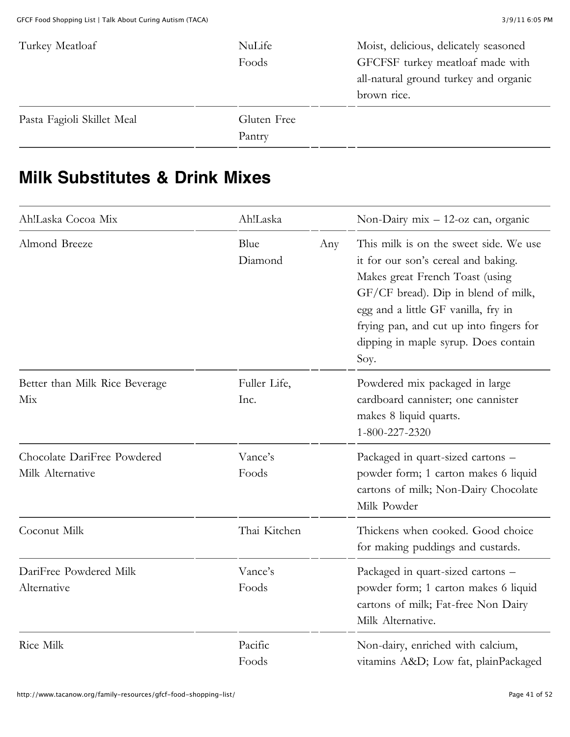| Turkey Meatloaf            | NuLife      | Moist, delicious, delicately seasoned |
|----------------------------|-------------|---------------------------------------|
|                            | Foods       | GFCFSF turkey meatloaf made with      |
|                            |             | all-natural ground turkey and organic |
|                            |             | brown rice.                           |
| Pasta Fagioli Skillet Meal | Gluten Free |                                       |
|                            | Pantry      |                                       |

#### **Milk Substitutes & Drink Mixes**

| Ah!Laska Cocoa Mix                              | Ah!Laska             |     | Non-Dairy $mix - 12$ -oz can, organic                                                                                                                                                                                                                                                     |
|-------------------------------------------------|----------------------|-----|-------------------------------------------------------------------------------------------------------------------------------------------------------------------------------------------------------------------------------------------------------------------------------------------|
| Almond Breeze                                   | Blue<br>Diamond      | Any | This milk is on the sweet side. We use<br>it for our son's cereal and baking.<br>Makes great French Toast (using<br>GF/CF bread). Dip in blend of milk,<br>egg and a little GF vanilla, fry in<br>frying pan, and cut up into fingers for<br>dipping in maple syrup. Does contain<br>Soy. |
| Better than Milk Rice Beverage<br>Mix           | Fuller Life,<br>Inc. |     | Powdered mix packaged in large<br>cardboard cannister; one cannister<br>makes 8 liquid quarts.<br>1-800-227-2320                                                                                                                                                                          |
| Chocolate DariFree Powdered<br>Milk Alternative | Vance's<br>Foods     |     | Packaged in quart-sized cartons -<br>powder form; 1 carton makes 6 liquid<br>cartons of milk; Non-Dairy Chocolate<br>Milk Powder                                                                                                                                                          |
| Coconut Milk                                    | Thai Kitchen         |     | Thickens when cooked. Good choice<br>for making puddings and custards.                                                                                                                                                                                                                    |
| DariFree Powdered Milk<br>Alternative           | Vance's<br>Foods     |     | Packaged in quart-sized cartons -<br>powder form; 1 carton makes 6 liquid<br>cartons of milk; Fat-free Non Dairy<br>Milk Alternative.                                                                                                                                                     |
| <b>Rice Milk</b>                                | Pacific<br>Foods     |     | Non-dairy, enriched with calcium,<br>vitamins A&D Low fat, plainPackaged                                                                                                                                                                                                                  |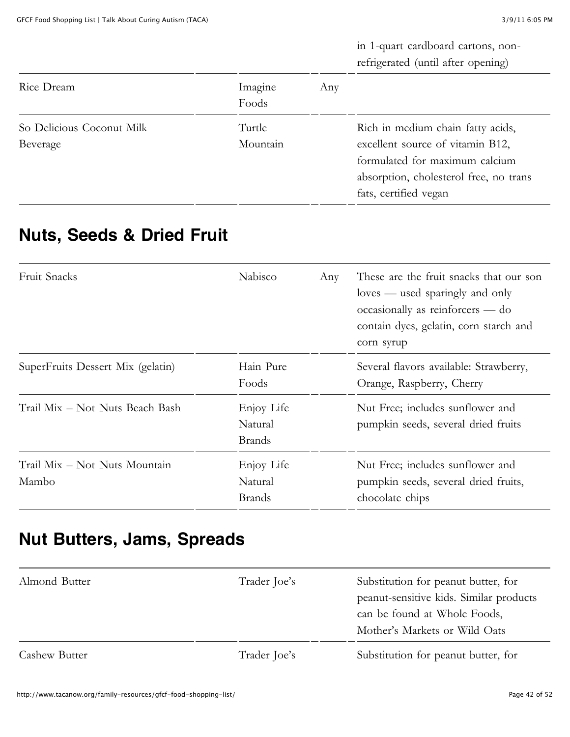in 1-quart cardboard cartons, nonrefrigerated (until after opening)

| Rice Dream                            | Imagine<br>Foods   | Any |                                                                                                                                                                            |
|---------------------------------------|--------------------|-----|----------------------------------------------------------------------------------------------------------------------------------------------------------------------------|
| So Delicious Coconut Milk<br>Beverage | Turtle<br>Mountain |     | Rich in medium chain fatty acids,<br>excellent source of vitamin B12,<br>formulated for maximum calcium<br>absorption, cholesterol free, no trans<br>fats, certified vegan |

#### **Nuts, Seeds & Dried Fruit**

| Fruit Snacks                           | Nabisco                                | Any | These are the fruit snacks that our son<br>loves — used sparingly and only<br>occasionally as reinforcers — do<br>contain dyes, gelatin, corn starch and<br>corn syrup |
|----------------------------------------|----------------------------------------|-----|------------------------------------------------------------------------------------------------------------------------------------------------------------------------|
| SuperFruits Dessert Mix (gelatin)      | Hain Pure<br>Foods                     |     | Several flavors available: Strawberry,<br>Orange, Raspberry, Cherry                                                                                                    |
| Trail Mix – Not Nuts Beach Bash        | Enjoy Life<br>Natural<br><b>Brands</b> |     | Nut Free; includes sunflower and<br>pumpkin seeds, several dried fruits                                                                                                |
| Trail Mix - Not Nuts Mountain<br>Mambo | Enjoy Life<br>Natural<br><b>Brands</b> |     | Nut Free; includes sunflower and<br>pumpkin seeds, several dried fruits,<br>chocolate chips                                                                            |

#### **Nut Butters, Jams, Spreads**

| Almond Butter        | Trader Joe's | Substitution for peanut butter, for<br>peanut-sensitive kids. Similar products<br>can be found at Whole Foods,<br>Mother's Markets or Wild Oats |
|----------------------|--------------|-------------------------------------------------------------------------------------------------------------------------------------------------|
| <b>Cashew Butter</b> | Trader Joe's | Substitution for peanut butter, for                                                                                                             |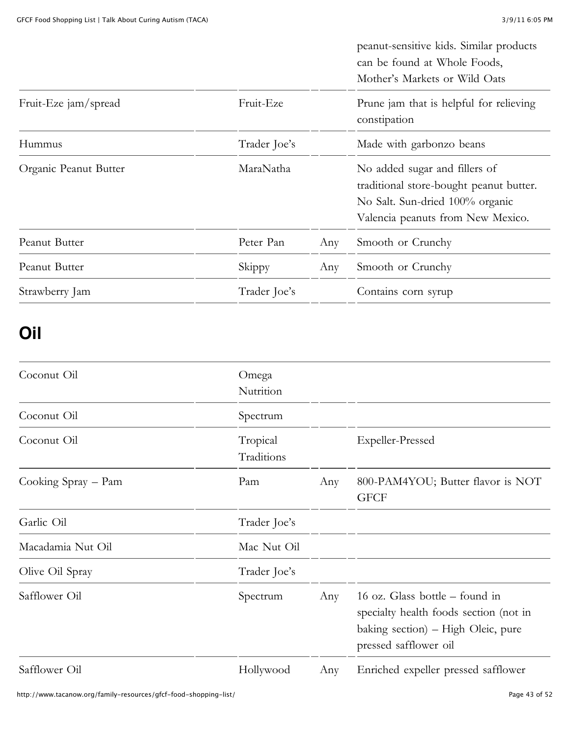|                       |              |     | peanut-sensitive kids. Similar products<br>can be found at Whole Foods,<br>Mother's Markets or Wild Oats                                         |
|-----------------------|--------------|-----|--------------------------------------------------------------------------------------------------------------------------------------------------|
| Fruit-Eze jam/spread  | Fruit-Eze    |     | Prune jam that is helpful for relieving<br>constipation                                                                                          |
| Hummus                | Trader Joe's |     | Made with garbonzo beans                                                                                                                         |
| Organic Peanut Butter | MaraNatha    |     | No added sugar and fillers of<br>traditional store-bought peanut butter.<br>No Salt. Sun-dried 100% organic<br>Valencia peanuts from New Mexico. |
| Peanut Butter         | Peter Pan    | Any | Smooth or Crunchy                                                                                                                                |
| Peanut Butter         | Skippy       | Any | Smooth or Crunchy                                                                                                                                |
| Strawberry Jam        | Trader Joe's |     | Contains corn syrup                                                                                                                              |

#### **Oil**

| Coconut Oil         | Omega<br>Nutrition     |     |                                                                                                                                           |
|---------------------|------------------------|-----|-------------------------------------------------------------------------------------------------------------------------------------------|
| Coconut Oil         | Spectrum               |     |                                                                                                                                           |
| Coconut Oil         | Tropical<br>Traditions |     | Expeller-Pressed                                                                                                                          |
| Cooking Spray – Pam | Pam                    | Any | 800-PAM4YOU; Butter flavor is NOT<br><b>GFCF</b>                                                                                          |
| Garlic Oil          | Trader Joe's           |     |                                                                                                                                           |
| Macadamia Nut Oil   | Mac Nut Oil            |     |                                                                                                                                           |
| Olive Oil Spray     | Trader Joe's           |     |                                                                                                                                           |
| Safflower Oil       | Spectrum               | Any | 16 oz. Glass bottle $-$ found in<br>specialty health foods section (not in<br>baking section) – High Oleic, pure<br>pressed safflower oil |
| Safflower Oil       | Hollywood              | Any | Enriched expeller pressed safflower                                                                                                       |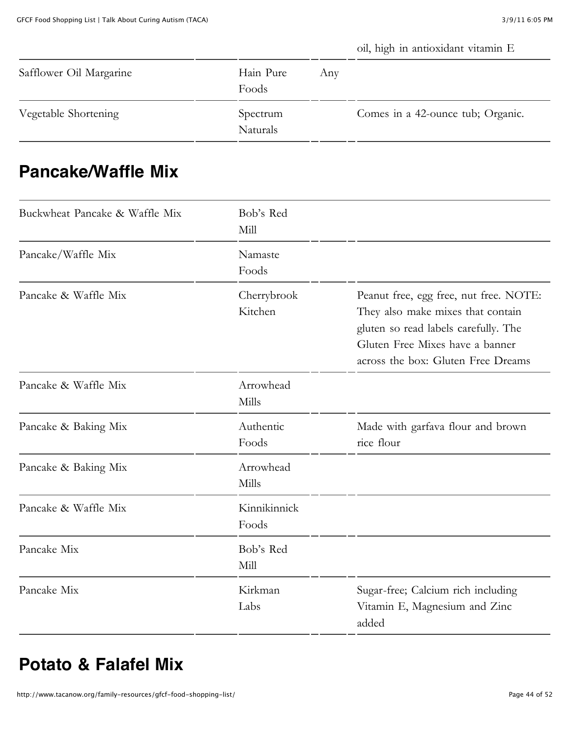oil, high in antioxidant vitamin E

| Safflower Oil Margarine | Hain Pure<br>Foods          | Any |                                   |
|-------------------------|-----------------------------|-----|-----------------------------------|
| Vegetable Shortening    | Spectrum<br><b>Naturals</b> |     | Comes in a 42-ounce tub; Organic. |

#### **Pancake/Waffle Mix**

| Buckwheat Pancake & Waffle Mix | Bob's Red<br>Mill      |                                                                                                                                                                                              |
|--------------------------------|------------------------|----------------------------------------------------------------------------------------------------------------------------------------------------------------------------------------------|
| Pancake/Waffle Mix             | Namaste<br>Foods       |                                                                                                                                                                                              |
| Pancake & Waffle Mix           | Cherrybrook<br>Kitchen | Peanut free, egg free, nut free. NOTE:<br>They also make mixes that contain<br>gluten so read labels carefully. The<br>Gluten Free Mixes have a banner<br>across the box: Gluten Free Dreams |
| Pancake & Waffle Mix           | Arrowhead<br>Mills     |                                                                                                                                                                                              |
| Pancake & Baking Mix           | Authentic<br>Foods     | Made with garfava flour and brown<br>rice flour                                                                                                                                              |
| Pancake & Baking Mix           | Arrowhead<br>Mills     |                                                                                                                                                                                              |
| Pancake & Waffle Mix           | Kinnikinnick<br>Foods  |                                                                                                                                                                                              |
| Pancake Mix                    | Bob's Red<br>Mill      |                                                                                                                                                                                              |
| Pancake Mix                    | Kirkman<br>Labs        | Sugar-free; Calcium rich including<br>Vitamin E, Magnesium and Zinc<br>added                                                                                                                 |

#### **Potato & Falafel Mix**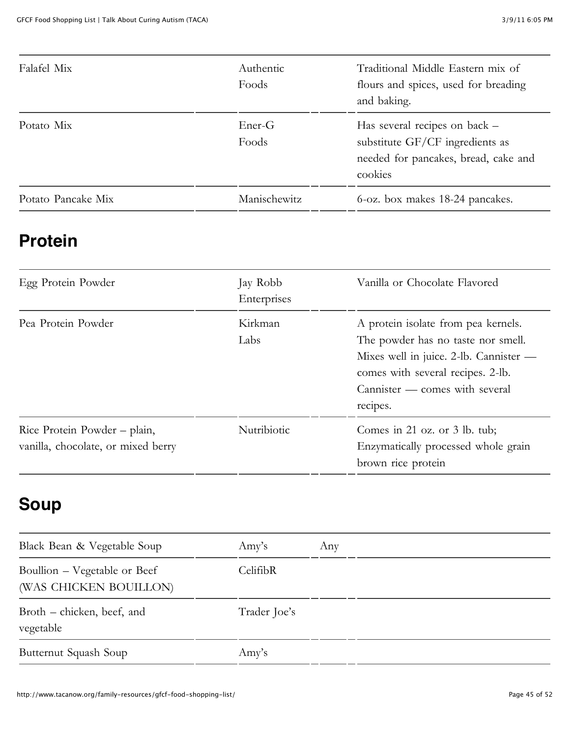| Falafel Mix        | Authentic<br>Foods | Traditional Middle Eastern mix of<br>flours and spices, used for breading<br>and baking.                            |
|--------------------|--------------------|---------------------------------------------------------------------------------------------------------------------|
| Potato Mix         | Ener-G<br>Foods    | Has several recipes on back –<br>substitute GF/CF ingredients as<br>needed for pancakes, bread, cake and<br>cookies |
| Potato Pancake Mix | Manischewitz       | 6-oz. box makes 18-24 pancakes.                                                                                     |

#### **Protein**

| Egg Protein Powder                                                 | Jay Robb<br>Enterprises | Vanilla or Chocolate Flavored                                                                                                                                                                          |
|--------------------------------------------------------------------|-------------------------|--------------------------------------------------------------------------------------------------------------------------------------------------------------------------------------------------------|
| Pea Protein Powder                                                 | Kirkman<br>Labs         | A protein isolate from pea kernels.<br>The powder has no taste nor smell.<br>Mixes well in juice. 2-lb. Cannister —<br>comes with several recipes. 2-lb.<br>Cannister — comes with several<br>recipes. |
| Rice Protein Powder – plain,<br>vanilla, chocolate, or mixed berry | Nutribiotic             | Comes in 21 oz. or $3$ lb. tub;<br>Enzymatically processed whole grain<br>brown rice protein                                                                                                           |

# **Soup**

| Black Bean & Vegetable Soup                            | $\rm{A}$ my's | Any |
|--------------------------------------------------------|---------------|-----|
| Boullion – Vegetable or Beef<br>(WAS CHICKEN BOUILLON) | CelifibR      |     |
| Broth – chicken, beef, and<br>vegetable                | Trader Joe's  |     |
| Butternut Squash Soup                                  | Amy's         |     |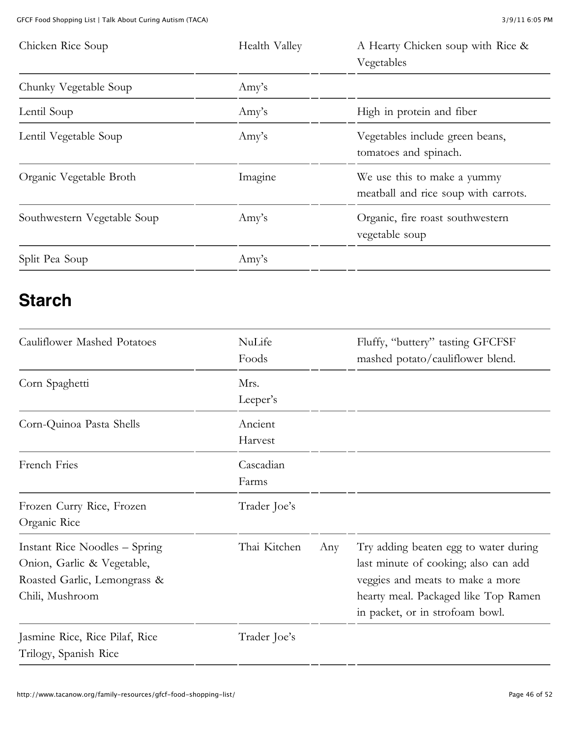| Chicken Rice Soup           | Health Valley | A Hearty Chicken soup with Rice &<br>Vegetables                     |
|-----------------------------|---------------|---------------------------------------------------------------------|
| Chunky Vegetable Soup       | Amy's         |                                                                     |
| Lentil Soup                 | Amy's         | High in protein and fiber                                           |
| Lentil Vegetable Soup       | Amy's         | Vegetables include green beans,<br>tomatoes and spinach.            |
| Organic Vegetable Broth     | Imagine       | We use this to make a yummy<br>meatball and rice soup with carrots. |
| Southwestern Vegetable Soup | Amy's         | Organic, fire roast southwestern<br>vegetable soup                  |
| Split Pea Soup              | Amy's         |                                                                     |

#### **Starch**

| Cauliflower Mashed Potatoes                                                                                    | NuLife<br>Foods    |     | Fluffy, "buttery" tasting GFCFSF<br>mashed potato/cauliflower blend.                                                                                                                         |
|----------------------------------------------------------------------------------------------------------------|--------------------|-----|----------------------------------------------------------------------------------------------------------------------------------------------------------------------------------------------|
| Corn Spaghetti                                                                                                 | Mrs.<br>Leeper's   |     |                                                                                                                                                                                              |
| Corn-Quinoa Pasta Shells                                                                                       | Ancient<br>Harvest |     |                                                                                                                                                                                              |
| French Fries                                                                                                   | Cascadian<br>Farms |     |                                                                                                                                                                                              |
| Frozen Curry Rice, Frozen<br>Organic Rice                                                                      | Trader Joe's       |     |                                                                                                                                                                                              |
| Instant Rice Noodles – Spring<br>Onion, Garlic & Vegetable,<br>Roasted Garlic, Lemongrass &<br>Chili, Mushroom | Thai Kitchen       | Any | Try adding beaten egg to water during<br>last minute of cooking; also can add<br>veggies and meats to make a more<br>hearty meal. Packaged like Top Ramen<br>in packet, or in strofoam bowl. |
| Jasmine Rice, Rice Pilaf, Rice<br>Trilogy, Spanish Rice                                                        | Trader Joe's       |     |                                                                                                                                                                                              |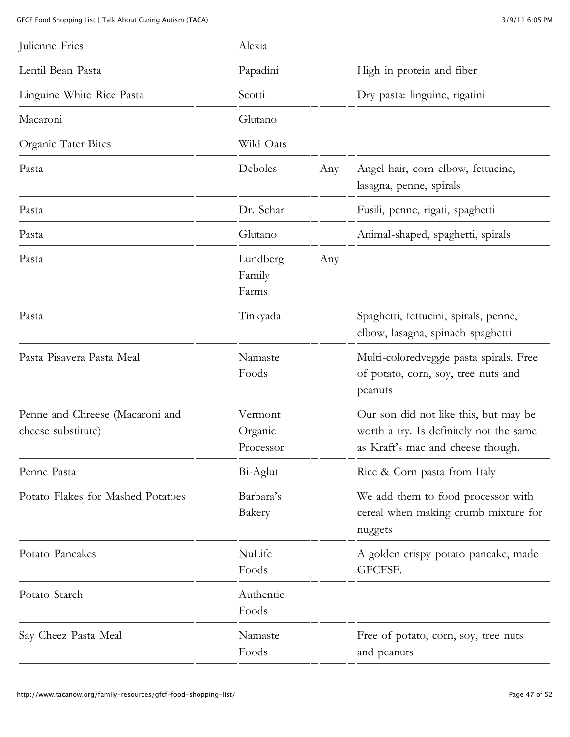| Julienne Fries                                        | Alexia                          |     |                                                                                                                       |
|-------------------------------------------------------|---------------------------------|-----|-----------------------------------------------------------------------------------------------------------------------|
| Lentil Bean Pasta                                     | Papadini                        |     | High in protein and fiber                                                                                             |
| Linguine White Rice Pasta                             | Scotti                          |     | Dry pasta: linguine, rigatini                                                                                         |
| Macaroni                                              | Glutano                         |     |                                                                                                                       |
| Organic Tater Bites                                   | Wild Oats                       |     |                                                                                                                       |
| Pasta                                                 | Deboles                         | Any | Angel hair, corn elbow, fettucine,<br>lasagna, penne, spirals                                                         |
| Pasta                                                 | Dr. Schar                       |     | Fusili, penne, rigati, spaghetti                                                                                      |
| Pasta                                                 | Glutano                         |     | Animal-shaped, spaghetti, spirals                                                                                     |
| Pasta                                                 | Lundberg<br>Family<br>Farms     | Any |                                                                                                                       |
| Pasta                                                 | Tinkyada                        |     | Spaghetti, fettucini, spirals, penne,<br>elbow, lasagna, spinach spaghetti                                            |
| Pasta Pisavera Pasta Meal                             | Namaste<br>Foods                |     | Multi-coloredveggie pasta spirals. Free<br>of potato, corn, soy, tree nuts and<br>peanuts                             |
| Penne and Chreese (Macaroni and<br>cheese substitute) | Vermont<br>Organic<br>Processor |     | Our son did not like this, but may be<br>worth a try. Is definitely not the same<br>as Kraft's mac and cheese though. |
| Penne Pasta                                           | Bi-Aglut                        |     | Rice & Corn pasta from Italy                                                                                          |
| Potato Flakes for Mashed Potatoes                     | Barbara's<br>Bakery             |     | We add them to food processor with<br>cereal when making crumb mixture for<br>nuggets                                 |
| Potato Pancakes                                       | NuLife<br>Foods                 |     | A golden crispy potato pancake, made<br>GFCFSF.                                                                       |
| Potato Starch                                         | Authentic<br>Foods              |     |                                                                                                                       |
| Say Cheez Pasta Meal                                  | Namaste<br>Foods                |     | Free of potato, corn, soy, tree nuts<br>and peanuts                                                                   |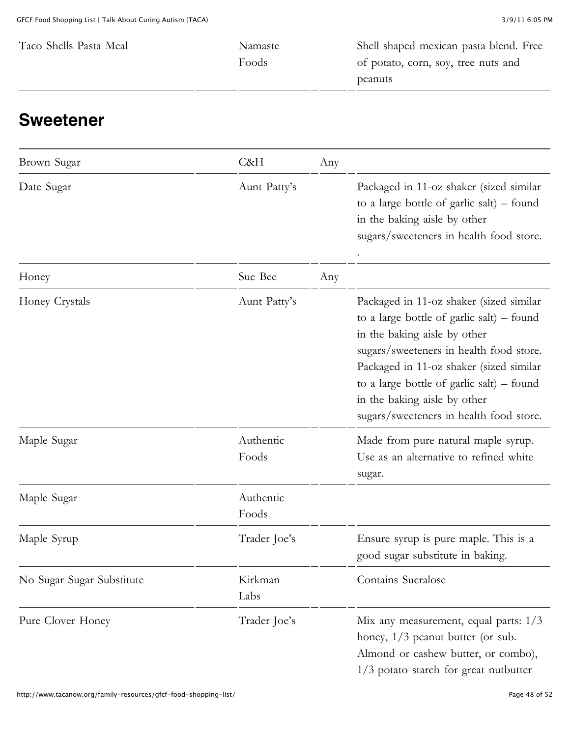| Namaste | Shell shaped mexican pasta blend. Free |
|---------|----------------------------------------|
| Foods   | of potato, corn, soy, tree nuts and    |
|         | peanuts                                |
|         |                                        |

#### **Sweetener**

| Brown Sugar               | C&H                | Any |                                                                                                                                                                                                                                                                                                                                      |
|---------------------------|--------------------|-----|--------------------------------------------------------------------------------------------------------------------------------------------------------------------------------------------------------------------------------------------------------------------------------------------------------------------------------------|
| Date Sugar                | Aunt Patty's       |     | Packaged in 11-oz shaker (sized similar<br>to a large bottle of garlic salt) – found<br>in the baking aisle by other<br>sugars/sweeteners in health food store.                                                                                                                                                                      |
| Honey                     | Sue Bee            | Any |                                                                                                                                                                                                                                                                                                                                      |
| Honey Crystals            | Aunt Patty's       |     | Packaged in 11-oz shaker (sized similar<br>to a large bottle of garlic salt) – found<br>in the baking aisle by other<br>sugars/sweeteners in health food store.<br>Packaged in 11-oz shaker (sized similar<br>to a large bottle of garlic salt) $-$ found<br>in the baking aisle by other<br>sugars/sweeteners in health food store. |
| Maple Sugar               | Authentic<br>Foods |     | Made from pure natural maple syrup.<br>Use as an alternative to refined white<br>sugar.                                                                                                                                                                                                                                              |
| Maple Sugar               | Authentic<br>Foods |     |                                                                                                                                                                                                                                                                                                                                      |
| Maple Syrup               | Trader Joe's       |     | Ensure syrup is pure maple. This is a<br>good sugar substitute in baking.                                                                                                                                                                                                                                                            |
| No Sugar Sugar Substitute | Kirkman<br>Labs    |     | Contains Sucralose                                                                                                                                                                                                                                                                                                                   |
| Pure Clover Honey         | Trader Joe's       |     | Mix any measurement, equal parts: 1/3<br>honey, $1/3$ peanut butter (or sub.<br>Almond or cashew butter, or combo),<br>1/3 potato starch for great nutbutter                                                                                                                                                                         |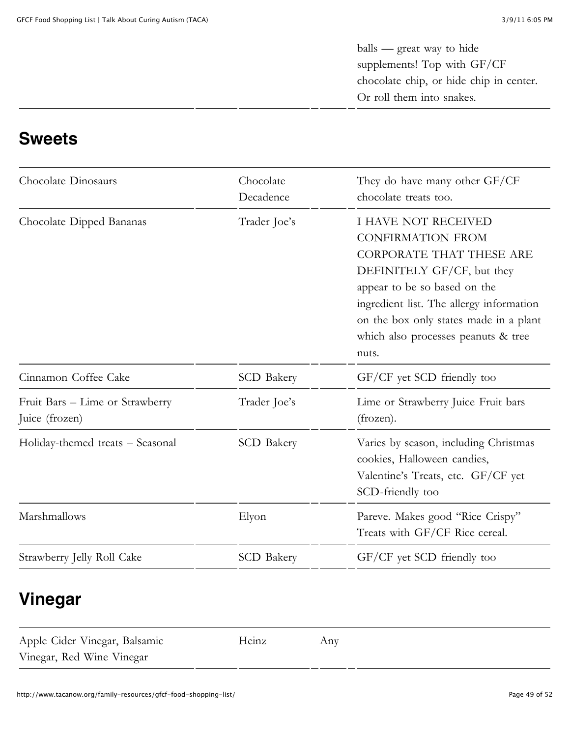balls — great way to hide supplements! Top with GF/CF chocolate chip, or hide chip in center. Or roll them into snakes.

#### **Sweets**

| Chocolate<br>Decadence | They do have many other GF/CF<br>chocolate treats too.                                                                                                                                                                                                                                        |
|------------------------|-----------------------------------------------------------------------------------------------------------------------------------------------------------------------------------------------------------------------------------------------------------------------------------------------|
| Trader Joe's           | <b>I HAVE NOT RECEIVED</b><br><b>CONFIRMATION FROM</b><br><b>CORPORATE THAT THESE ARE</b><br>DEFINITELY GF/CF, but they<br>appear to be so based on the<br>ingredient list. The allergy information<br>on the box only states made in a plant<br>which also processes peanuts & tree<br>nuts. |
| <b>SCD</b> Bakery      | GF/CF yet SCD friendly too                                                                                                                                                                                                                                                                    |
| Trader Joe's           | Lime or Strawberry Juice Fruit bars<br>(frozen).                                                                                                                                                                                                                                              |
| <b>SCD</b> Bakery      | Varies by season, including Christmas<br>cookies, Halloween candies,<br>Valentine's Treats, etc. GF/CF yet<br>SCD-friendly too                                                                                                                                                                |
| Elyon                  | Pareve. Makes good "Rice Crispy"<br>Treats with GF/CF Rice cereal.                                                                                                                                                                                                                            |
| <b>SCD</b> Bakery      | GF/CF yet SCD friendly too                                                                                                                                                                                                                                                                    |
|                        |                                                                                                                                                                                                                                                                                               |

#### **Vinegar**

| Apple Cider Vinegar, Balsamic | Heinz | Any |
|-------------------------------|-------|-----|
| Vinegar, Red Wine Vinegar     |       |     |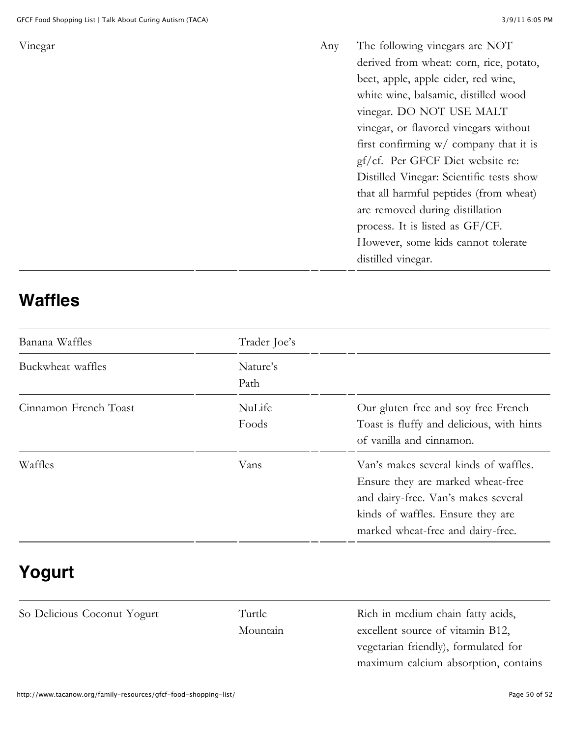Vinegar Any The following vinegars are NOT derived from wheat: corn, rice, potato, beet, apple, apple cider, red wine, white wine, balsamic, distilled wood vinegar. DO NOT USE MALT vinegar, or flavored vinegars without first confirming w/ company that it is gf/cf. Per GFCF Diet website re: Distilled Vinegar: Scientific tests show that all harmful peptides (from wheat) are removed during distillation process. It is listed as GF/CF. However, some kids cannot tolerate distilled vinegar.

#### **Waffles**

| Banana Waffles        | Trader Joe's     |                                                                                                                                                                                             |
|-----------------------|------------------|---------------------------------------------------------------------------------------------------------------------------------------------------------------------------------------------|
| Buckwheat waffles     | Nature's<br>Path |                                                                                                                                                                                             |
| Cinnamon French Toast | NuLife<br>Foods  | Our gluten free and soy free French<br>Toast is fluffy and delicious, with hints<br>of vanilla and cinnamon.                                                                                |
| Waffles               | Vans             | Van's makes several kinds of waffles.<br>Ensure they are marked wheat-free<br>and dairy-free. Van's makes several<br>kinds of waffles. Ensure they are<br>marked wheat-free and dairy-free. |

### **Yogurt**

So Delicious Coconut Yogurt Turtle

[Mountain](http://www.turtlemountain.com/)

Rich in medium chain fatty acids, excellent source of vitamin B12, vegetarian friendly), formulated for maximum calcium absorption, contains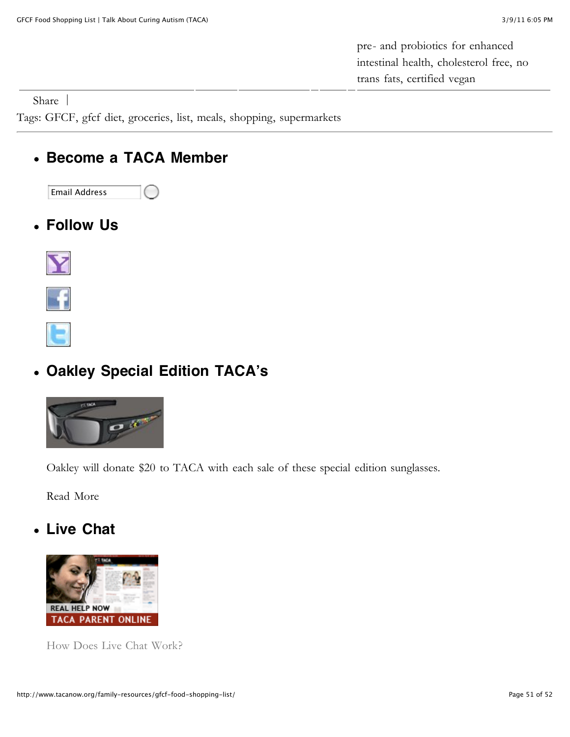pre- and probiotics for enhanced intestinal health, cholesterol free, no trans fats, certified vegan

[Share](http://addthis.com/bookmark.php?v=250&username=xa-4d2b47597ad291fb) |

Tags: [GFCF](http://www.tacanow.org/tag/gfcf/), [gfcf diet,](http://www.tacanow.org/tag/gfcf-diet/) [groceries,](http://www.tacanow.org/tag/groceries/) [list](http://www.tacanow.org/tag/list/), [meals,](http://www.tacanow.org/tag/meals/) [shopping](http://www.tacanow.org/tag/shopping/), [supermarkets](http://www.tacanow.org/tag/supermarkets/)

#### **Become a TACA Member**  $\bullet$



**Follow Us**





#### **[Oakley Special Edition TACA](http://twitter.com/tacafoundation)'s**



Oakley will donate \$20 to TACA with each sale of these special edition sunglasses.

[Read More](http://www.tacanow.org/miscellaneous/taca-autism-awareness-sunglasses-from-oakley-now-available/)

#### **Live Chat**



[How Does Live Chat Work?](http://www.tacanow.org/family-resources/real-help-now-live-chat/)